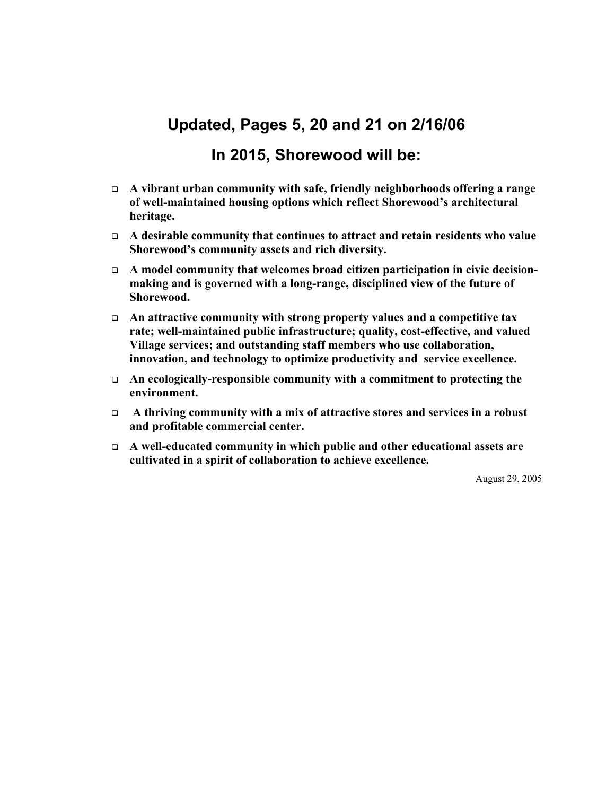# **Updated, Pages 5, 20 and 21 on 2/16/06**

### **In 2015, Shorewood will be:**

- **A vibrant urban community with safe, friendly neighborhoods offering a range of well-maintained housing options which reflect Shorewood's architectural heritage.**
- **A desirable community that continues to attract and retain residents who value Shorewood's community assets and rich diversity.**
- **A model community that welcomes broad citizen participation in civic decisionmaking and is governed with a long-range, disciplined view of the future of Shorewood.**
- **An attractive community with strong property values and a competitive tax rate; well-maintained public infrastructure; quality, cost-effective, and valued Village services; and outstanding staff members who use collaboration, innovation, and technology to optimize productivity and service excellence.**
- **An ecologically-responsible community with a commitment to protecting the environment.**
- **A thriving community with a mix of attractive stores and services in a robust and profitable commercial center.**
- **A well-educated community in which public and other educational assets are cultivated in a spirit of collaboration to achieve excellence.**

August 29, 2005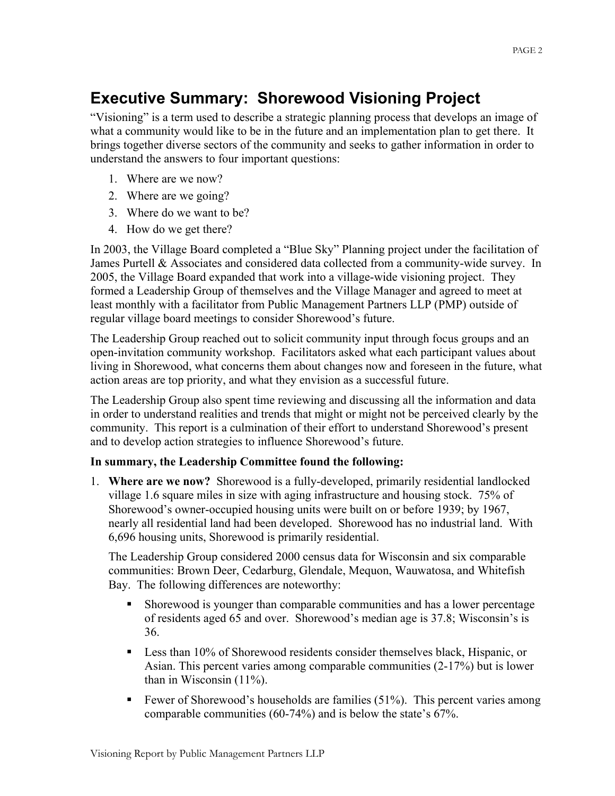# **Executive Summary: Shorewood Visioning Project**

"Visioning" is a term used to describe a strategic planning process that develops an image of what a community would like to be in the future and an implementation plan to get there. It brings together diverse sectors of the community and seeks to gather information in order to understand the answers to four important questions:

- 1. Where are we now?
- 2. Where are we going?
- 3. Where do we want to be?
- 4. How do we get there?

In 2003, the Village Board completed a "Blue Sky" Planning project under the facilitation of James Purtell & Associates and considered data collected from a community-wide survey. In 2005, the Village Board expanded that work into a village-wide visioning project. They formed a Leadership Group of themselves and the Village Manager and agreed to meet at least monthly with a facilitator from Public Management Partners LLP (PMP) outside of regular village board meetings to consider Shorewood's future.

The Leadership Group reached out to solicit community input through focus groups and an open-invitation community workshop. Facilitators asked what each participant values about living in Shorewood, what concerns them about changes now and foreseen in the future, what action areas are top priority, and what they envision as a successful future.

The Leadership Group also spent time reviewing and discussing all the information and data in order to understand realities and trends that might or might not be perceived clearly by the community. This report is a culmination of their effort to understand Shorewood's present and to develop action strategies to influence Shorewood's future.

### **In summary, the Leadership Committee found the following:**

1. **Where are we now?** Shorewood is a fully-developed, primarily residential landlocked village 1.6 square miles in size with aging infrastructure and housing stock. 75% of Shorewood's owner-occupied housing units were built on or before 1939; by 1967, nearly all residential land had been developed. Shorewood has no industrial land. With 6,696 housing units, Shorewood is primarily residential.

The Leadership Group considered 2000 census data for Wisconsin and six comparable communities: Brown Deer, Cedarburg, Glendale, Mequon, Wauwatosa, and Whitefish Bay. The following differences are noteworthy:

- Shorewood is younger than comparable communities and has a lower percentage of residents aged 65 and over. Shorewood's median age is 37.8; Wisconsin's is 36.
- **Less than 10% of Shorewood residents consider themselves black, Hispanic, or** Asian. This percent varies among comparable communities (2-17%) but is lower than in Wisconsin (11%).
- Fewer of Shorewood's households are families (51%). This percent varies among comparable communities (60-74%) and is below the state's 67%.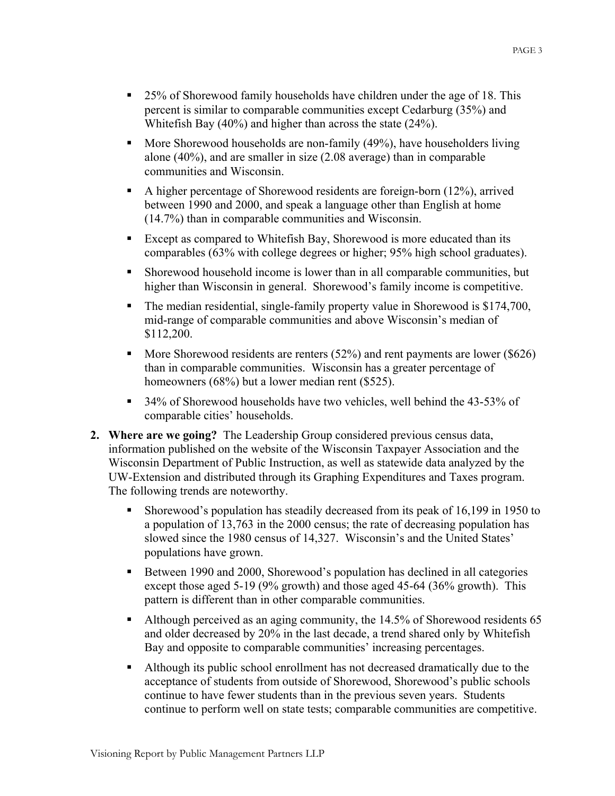- 25% of Shorewood family households have children under the age of 18. This percent is similar to comparable communities except Cedarburg (35%) and Whitefish Bay (40%) and higher than across the state (24%).
- More Shorewood households are non-family (49%), have householders living alone (40%), and are smaller in size (2.08 average) than in comparable communities and Wisconsin.
- A higher percentage of Shorewood residents are foreign-born (12%), arrived between 1990 and 2000, and speak a language other than English at home (14.7%) than in comparable communities and Wisconsin.
- Except as compared to Whitefish Bay, Shorewood is more educated than its comparables (63% with college degrees or higher; 95% high school graduates).
- Shorewood household income is lower than in all comparable communities, but higher than Wisconsin in general. Shorewood's family income is competitive.
- The median residential, single-family property value in Shorewood is \$174,700, mid-range of comparable communities and above Wisconsin's median of \$112,200.
- More Shorewood residents are renters  $(52\%)$  and rent payments are lower  $(\$626)$ than in comparable communities. Wisconsin has a greater percentage of homeowners (68%) but a lower median rent (\$525).
- 34% of Shorewood households have two vehicles, well behind the 43-53% of comparable cities' households.
- **2. Where are we going?** The Leadership Group considered previous census data, information published on the website of the Wisconsin Taxpayer Association and the Wisconsin Department of Public Instruction, as well as statewide data analyzed by the UW-Extension and distributed through its Graphing Expenditures and Taxes program. The following trends are noteworthy.
	- Shorewood's population has steadily decreased from its peak of 16,199 in 1950 to a population of 13,763 in the 2000 census; the rate of decreasing population has slowed since the 1980 census of 14,327. Wisconsin's and the United States' populations have grown.
	- Between 1990 and 2000, Shorewood's population has declined in all categories except those aged 5-19 (9% growth) and those aged 45-64 (36% growth). This pattern is different than in other comparable communities.
	- Although perceived as an aging community, the 14.5% of Shorewood residents 65 and older decreased by 20% in the last decade, a trend shared only by Whitefish Bay and opposite to comparable communities' increasing percentages.
	- Although its public school enrollment has not decreased dramatically due to the acceptance of students from outside of Shorewood, Shorewood's public schools continue to have fewer students than in the previous seven years. Students continue to perform well on state tests; comparable communities are competitive.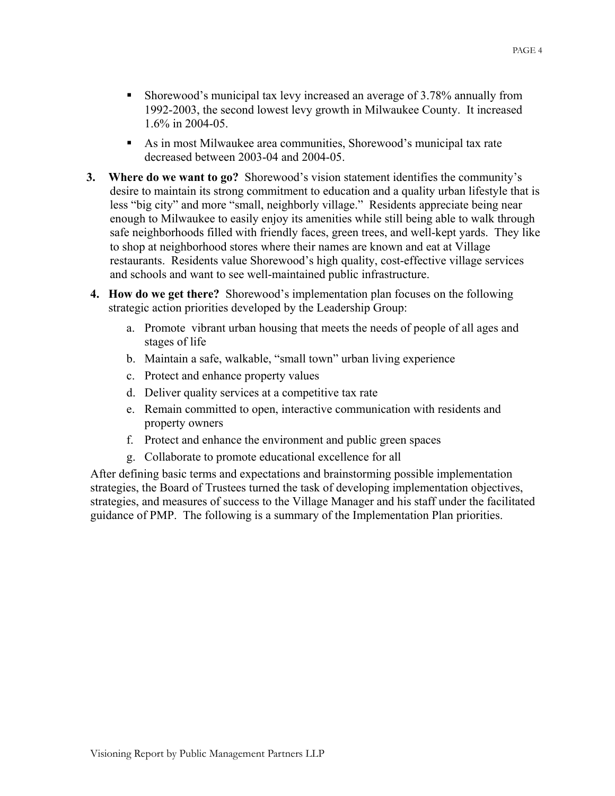- As in most Milwaukee area communities, Shorewood's municipal tax rate decreased between 2003-04 and 2004-05.
- **3. Where do we want to go?** Shorewood's vision statement identifies the community's desire to maintain its strong commitment to education and a quality urban lifestyle that is less "big city" and more "small, neighborly village." Residents appreciate being near enough to Milwaukee to easily enjoy its amenities while still being able to walk through safe neighborhoods filled with friendly faces, green trees, and well-kept yards. They like to shop at neighborhood stores where their names are known and eat at Village restaurants. Residents value Shorewood's high quality, cost-effective village services and schools and want to see well-maintained public infrastructure.
- **4. How do we get there?** Shorewood's implementation plan focuses on the following strategic action priorities developed by the Leadership Group:
	- a. Promote vibrant urban housing that meets the needs of people of all ages and stages of life
	- b. Maintain a safe, walkable, "small town" urban living experience
	- c. Protect and enhance property values
	- d. Deliver quality services at a competitive tax rate
	- e. Remain committed to open, interactive communication with residents and property owners
	- f. Protect and enhance the environment and public green spaces
	- g. Collaborate to promote educational excellence for all

After defining basic terms and expectations and brainstorming possible implementation strategies, the Board of Trustees turned the task of developing implementation objectives, strategies, and measures of success to the Village Manager and his staff under the facilitated guidance of PMP. The following is a summary of the Implementation Plan priorities.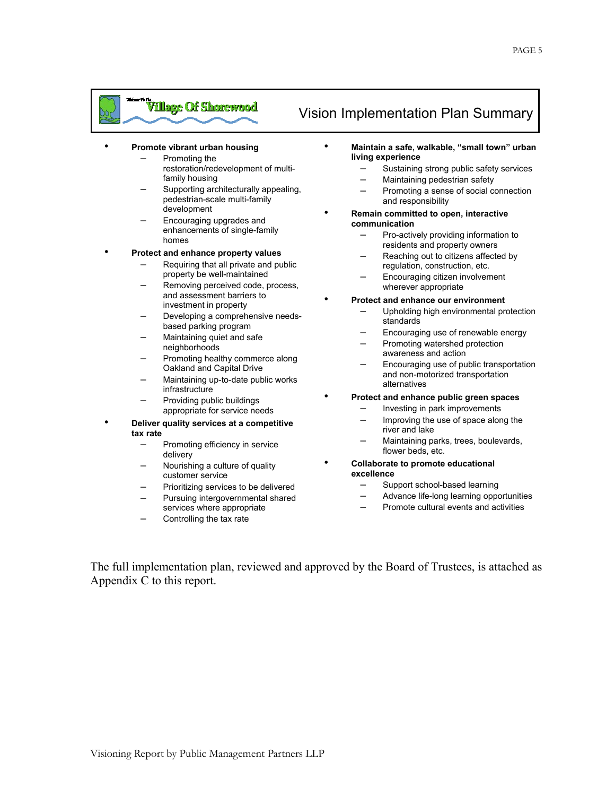# <sup>"Type</sup> Of Shorewood Vision Implementation Plan Summary

#### • **Promote vibrant urban housing**

- Promoting the
	- restoration/redevelopment of multifamily housing
	- Supporting architecturally appealing, pedestrian-scale multi-family development
- Encouraging upgrades and enhancements of single-family homes

#### • **Protect and enhance property values**

- Requiring that all private and public property be well-maintained
- Removing perceived code, process, and assessment barriers to investment in property
- Developing a comprehensive needsbased parking program
- Maintaining quiet and safe neighborhoods
- Promoting healthy commerce along Oakland and Capital Drive
- Maintaining up-to-date public works infrastructure
- Providing public buildings appropriate for service needs
- **Deliver quality services at a competitive tax rate** 
	- Promoting efficiency in service delivery
	- Nourishing a culture of quality customer service
	- Prioritizing services to be delivered
	- Pursuing intergovernmental shared services where appropriate
	- Controlling the tax rate

- **Maintain a safe, walkable, "small town" urban living experience** 
	- Sustaining strong public safety services
	- Maintaining pedestrian safety
	- Promoting a sense of social connection and responsibility
- **Remain committed to open, interactive communication** 
	- Pro-actively providing information to residents and property owners
	- Reaching out to citizens affected by regulation, construction, etc.
	- Encouraging citizen involvement wherever appropriate
- **Protect and enhance our environment** 
	- Upholding high environmental protection standards
	- Encouraging use of renewable energy
	- Promoting watershed protection awareness and action
	- Encouraging use of public transportation and non-motorized transportation alternatives
	- **Protect and enhance public green spaces** 
		- Investing in park improvements
		- Improving the use of space along the river and lake
		- Maintaining parks, trees, boulevards, flower beds, etc.
- **Collaborate to promote educational excellence** 
	- Support school-based learning
	- Advance life-long learning opportunities
	- Promote cultural events and activities

The full implementation plan, reviewed and approved by the Board of Trustees, is attached as Appendix C to this report.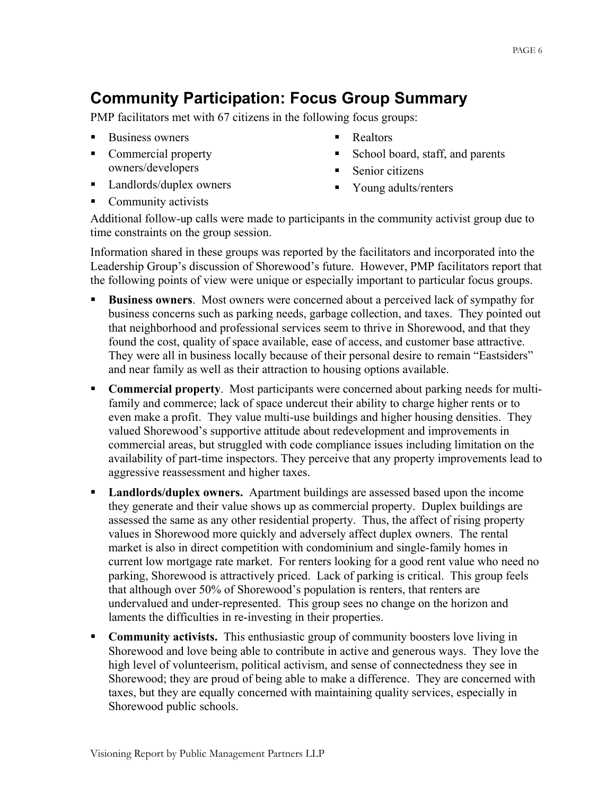# **Community Participation: Focus Group Summary**

PMP facilitators met with 67 citizens in the following focus groups:

- Business owners
- Commercial property owners/developers
- Landlords/duplex owners
- Realtors
- School board, staff, and parents
- Senior citizens
- Young adults/renters

• Community activists

Additional follow-up calls were made to participants in the community activist group due to time constraints on the group session.

Information shared in these groups was reported by the facilitators and incorporated into the Leadership Group's discussion of Shorewood's future. However, PMP facilitators report that the following points of view were unique or especially important to particular focus groups.

- **Business owners**. Most owners were concerned about a perceived lack of sympathy for business concerns such as parking needs, garbage collection, and taxes. They pointed out that neighborhood and professional services seem to thrive in Shorewood, and that they found the cost, quality of space available, ease of access, and customer base attractive. They were all in business locally because of their personal desire to remain "Eastsiders" and near family as well as their attraction to housing options available.
- **Commercial property**. Most participants were concerned about parking needs for multifamily and commerce; lack of space undercut their ability to charge higher rents or to even make a profit. They value multi-use buildings and higher housing densities. They valued Shorewood's supportive attitude about redevelopment and improvements in commercial areas, but struggled with code compliance issues including limitation on the availability of part-time inspectors. They perceive that any property improvements lead to aggressive reassessment and higher taxes.
- **Landlords/duplex owners.** Apartment buildings are assessed based upon the income they generate and their value shows up as commercial property. Duplex buildings are assessed the same as any other residential property. Thus, the affect of rising property values in Shorewood more quickly and adversely affect duplex owners. The rental market is also in direct competition with condominium and single-family homes in current low mortgage rate market. For renters looking for a good rent value who need no parking, Shorewood is attractively priced. Lack of parking is critical. This group feels that although over 50% of Shorewood's population is renters, that renters are undervalued and under-represented. This group sees no change on the horizon and laments the difficulties in re-investing in their properties.
- **Community activists.** This enthusiastic group of community boosters love living in Shorewood and love being able to contribute in active and generous ways. They love the high level of volunteerism, political activism, and sense of connectedness they see in Shorewood; they are proud of being able to make a difference. They are concerned with taxes, but they are equally concerned with maintaining quality services, especially in Shorewood public schools.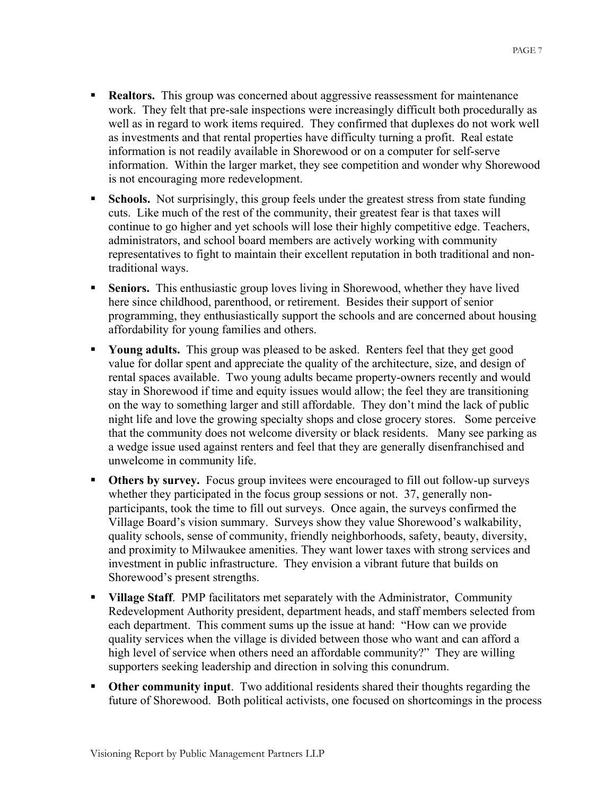- **Realtors.** This group was concerned about aggressive reassessment for maintenance work. They felt that pre-sale inspections were increasingly difficult both procedurally as well as in regard to work items required. They confirmed that duplexes do not work well as investments and that rental properties have difficulty turning a profit. Real estate information is not readily available in Shorewood or on a computer for self-serve information. Within the larger market, they see competition and wonder why Shorewood is not encouraging more redevelopment.
- **Schools.** Not surprisingly, this group feels under the greatest stress from state funding cuts. Like much of the rest of the community, their greatest fear is that taxes will continue to go higher and yet schools will lose their highly competitive edge. Teachers, administrators, and school board members are actively working with community representatives to fight to maintain their excellent reputation in both traditional and nontraditional ways.
- **Seniors.** This enthusiastic group loves living in Shorewood, whether they have lived here since childhood, parenthood, or retirement. Besides their support of senior programming, they enthusiastically support the schools and are concerned about housing affordability for young families and others.
- **Young adults.** This group was pleased to be asked. Renters feel that they get good value for dollar spent and appreciate the quality of the architecture, size, and design of rental spaces available. Two young adults became property-owners recently and would stay in Shorewood if time and equity issues would allow; the feel they are transitioning on the way to something larger and still affordable. They don't mind the lack of public night life and love the growing specialty shops and close grocery stores. Some perceive that the community does not welcome diversity or black residents. Many see parking as a wedge issue used against renters and feel that they are generally disenfranchised and unwelcome in community life.
- **Others by survey.** Focus group invitees were encouraged to fill out follow-up surveys whether they participated in the focus group sessions or not. 37, generally nonparticipants, took the time to fill out surveys. Once again, the surveys confirmed the Village Board's vision summary. Surveys show they value Shorewood's walkability, quality schools, sense of community, friendly neighborhoods, safety, beauty, diversity, and proximity to Milwaukee amenities. They want lower taxes with strong services and investment in public infrastructure. They envision a vibrant future that builds on Shorewood's present strengths.
- **Village Staff**. PMP facilitators met separately with the Administrator, Community Redevelopment Authority president, department heads, and staff members selected from each department. This comment sums up the issue at hand: "How can we provide quality services when the village is divided between those who want and can afford a high level of service when others need an affordable community?" They are willing supporters seeking leadership and direction in solving this conundrum.
- **Other community input**. Two additional residents shared their thoughts regarding the future of Shorewood. Both political activists, one focused on shortcomings in the process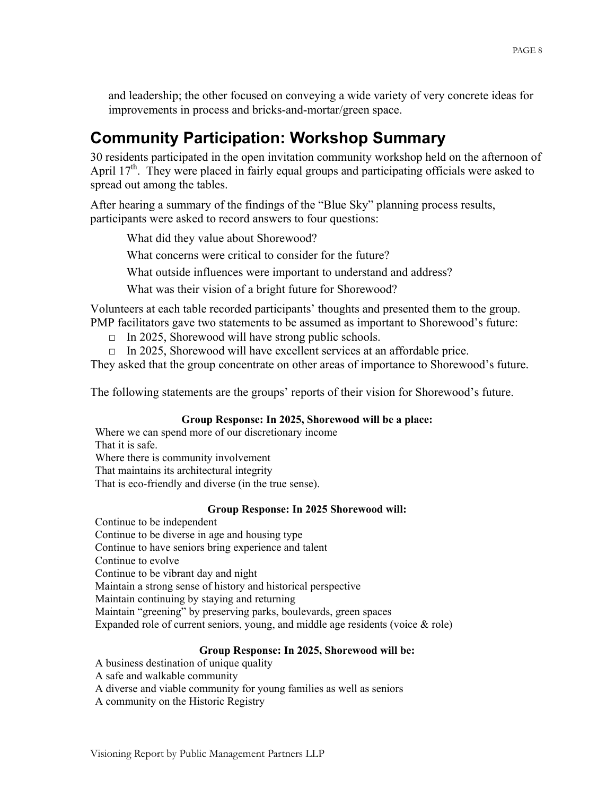and leadership; the other focused on conveying a wide variety of very concrete ideas for improvements in process and bricks-and-mortar/green space.

# **Community Participation: Workshop Summary**

30 residents participated in the open invitation community workshop held on the afternoon of April 17<sup>th</sup>. They were placed in fairly equal groups and participating officials were asked to spread out among the tables.

After hearing a summary of the findings of the "Blue Sky" planning process results, participants were asked to record answers to four questions:

What did they value about Shorewood?

What concerns were critical to consider for the future?

What outside influences were important to understand and address?

What was their vision of a bright future for Shorewood?

Volunteers at each table recorded participants' thoughts and presented them to the group. PMP facilitators gave two statements to be assumed as important to Shorewood's future:

- $\Box$  In 2025, Shorewood will have strong public schools.
- $\Box$  In 2025, Shorewood will have excellent services at an affordable price.

They asked that the group concentrate on other areas of importance to Shorewood's future.

The following statements are the groups' reports of their vision for Shorewood's future.

#### **Group Response: In 2025, Shorewood will be a place:**

Where we can spend more of our discretionary income That it is safe. Where there is community involvement That maintains its architectural integrity That is eco-friendly and diverse (in the true sense).

#### **Group Response: In 2025 Shorewood will:**

Continue to be independent Continue to be diverse in age and housing type Continue to have seniors bring experience and talent Continue to evolve Continue to be vibrant day and night Maintain a strong sense of history and historical perspective Maintain continuing by staying and returning Maintain "greening" by preserving parks, boulevards, green spaces Expanded role of current seniors, young, and middle age residents (voice  $\&$  role)

#### **Group Response: In 2025, Shorewood will be:**

- A business destination of unique quality
- A safe and walkable community
- A diverse and viable community for young families as well as seniors
- A community on the Historic Registry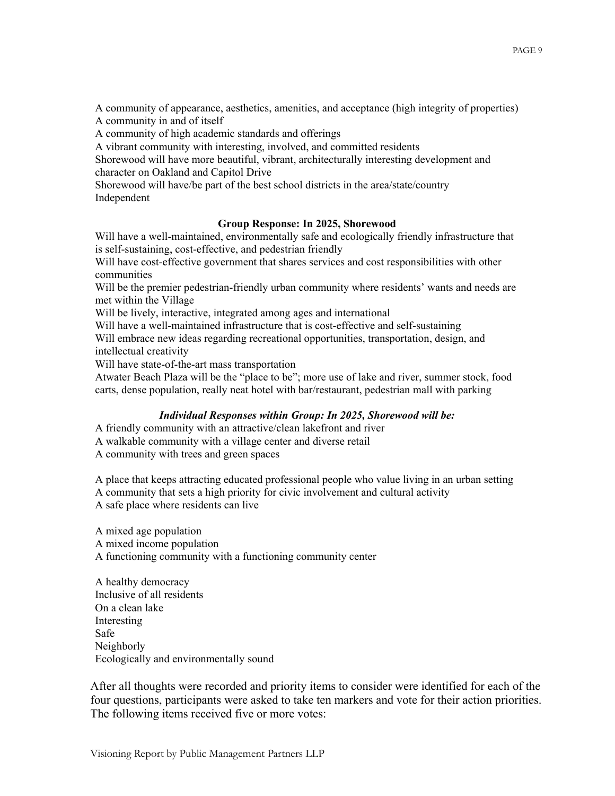A community of appearance, aesthetics, amenities, and acceptance (high integrity of properties) A community in and of itself

A community of high academic standards and offerings

A vibrant community with interesting, involved, and committed residents

Shorewood will have more beautiful, vibrant, architecturally interesting development and character on Oakland and Capitol Drive

Shorewood will have/be part of the best school districts in the area/state/country Independent

#### **Group Response: In 2025, Shorewood**

Will have a well-maintained, environmentally safe and ecologically friendly infrastructure that is self-sustaining, cost-effective, and pedestrian friendly

Will have cost-effective government that shares services and cost responsibilities with other communities

Will be the premier pedestrian-friendly urban community where residents' wants and needs are met within the Village

Will be lively, interactive, integrated among ages and international

Will have a well-maintained infrastructure that is cost-effective and self-sustaining

Will embrace new ideas regarding recreational opportunities, transportation, design, and intellectual creativity

Will have state-of-the-art mass transportation

Atwater Beach Plaza will be the "place to be"; more use of lake and river, summer stock, food carts, dense population, really neat hotel with bar/restaurant, pedestrian mall with parking

#### *Individual Responses within Group: In 2025, Shorewood will be:*

A friendly community with an attractive/clean lakefront and river

A walkable community with a village center and diverse retail

A community with trees and green spaces

A place that keeps attracting educated professional people who value living in an urban setting A community that sets a high priority for civic involvement and cultural activity A safe place where residents can live

A mixed age population A mixed income population A functioning community with a functioning community center

A healthy democracy Inclusive of all residents On a clean lake Interesting Safe Neighborly Ecologically and environmentally sound

After all thoughts were recorded and priority items to consider were identified for each of the four questions, participants were asked to take ten markers and vote for their action priorities. The following items received five or more votes: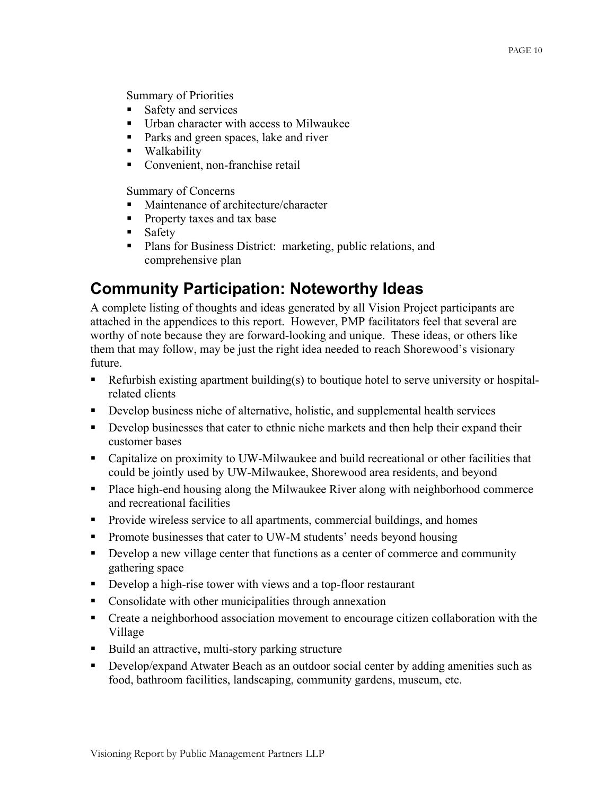Summary of Priorities

- Safety and services
- Urban character with access to Milwaukee
- **Parks and green spaces, lake and river**
- **Walkability**
- Convenient, non-franchise retail

Summary of Concerns

- Maintenance of architecture/character
- **Property taxes and tax base**
- **Safety**
- **Plans for Business District: marketing, public relations, and** comprehensive plan

# **Community Participation: Noteworthy Ideas**

A complete listing of thoughts and ideas generated by all Vision Project participants are attached in the appendices to this report. However, PMP facilitators feel that several are worthy of note because they are forward-looking and unique. These ideas, or others like them that may follow, may be just the right idea needed to reach Shorewood's visionary future.

- Refurbish existing apartment building(s) to boutique hotel to serve university or hospitalrelated clients
- Develop business niche of alternative, holistic, and supplemental health services
- Develop businesses that cater to ethnic niche markets and then help their expand their customer bases
- Capitalize on proximity to UW-Milwaukee and build recreational or other facilities that could be jointly used by UW-Milwaukee, Shorewood area residents, and beyond
- **Place high-end housing along the Milwaukee River along with neighborhood commerce** and recreational facilities
- Provide wireless service to all apartments, commercial buildings, and homes
- Promote businesses that cater to UW-M students' needs beyond housing
- Develop a new village center that functions as a center of commerce and community gathering space
- Develop a high-rise tower with views and a top-floor restaurant
- **Consolidate with other municipalities through annexation**
- Create a neighborhood association movement to encourage citizen collaboration with the Village
- Build an attractive, multi-story parking structure
- Develop/expand Atwater Beach as an outdoor social center by adding amenities such as food, bathroom facilities, landscaping, community gardens, museum, etc.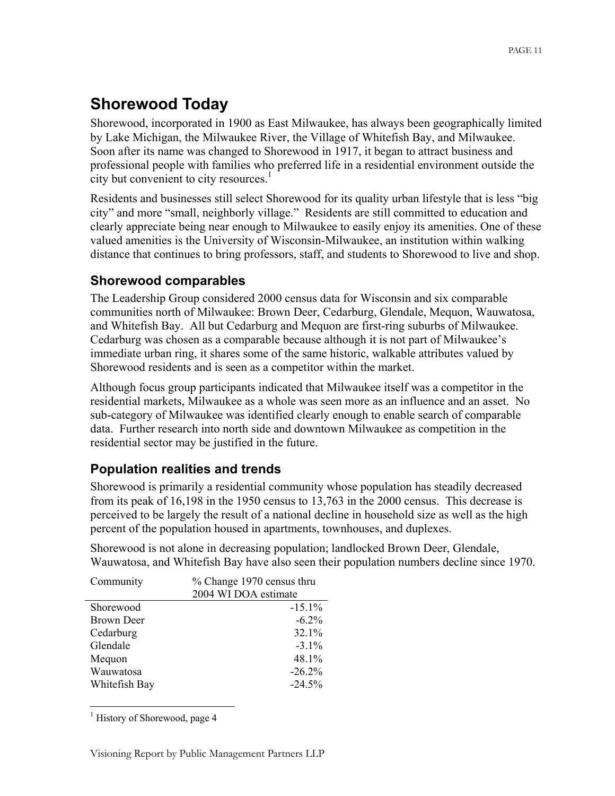# **Shorewood Today**

Shorewood, incorporated in 1900 as East Milwaukee, has always been geographically limited by Lake Michigan, the Milwaukee River, the Village of Whitefish Bay, and Milwaukee. Soon after its name was changed to Shorewood in 1917, it began to attract business and professional people with families who preferred life in a residential environment outside the city but convenient to city resources.<sup>1</sup>

Residents and businesses still select Shorewood for its quality urban lifestyle that is less "big city" and more "small, neighborly village." Residents are still committed to education and clearly appreciate being near enough to Milwaukee to easily enjoy its amenities. One of these valued amenities is the University of Wisconsin-Milwaukee, an institution within walking distance that continues to bring professors, staff, and students to Shorewood to live and shop.

### **Shorewood comparables**

The Leadership Group considered 2000 census data for Wisconsin and six comparable communities north of Milwaukee: Brown Deer, Cedarburg, Glendale, Mequon, Wauwatosa, and Whitefish Bay. All but Cedarburg and Mequon are first-ring suburbs of Milwaukee. Cedarburg was chosen as a comparable because although it is not part of Milwaukee's immediate urban ring, it shares some of the same historic, walkable attributes valued by Shorewood residents and is seen as a competitor within the market.

Although focus group participants indicated that Milwaukee itself was a competitor in the residential markets, Milwaukee as a whole was seen more as an influence and an asset. No sub-category of Milwaukee was identified clearly enough to enable search of comparable data. Further research into north side and downtown Milwaukee as competition in the residential sector may be justified in the future.

### **Population realities and trends**

Shorewood is primarily a residential community whose population has steadily decreased from its peak of 16,198 in the 1950 census to 13,763 in the 2000 census. This decrease is perceived to be largely the result of a national decline in household size as well as the high percent of the population housed in apartments, townhouses, and duplexes.

Shorewood is not alone in decreasing population; landlocked Brown Deer, Glendale, Wauwatosa, and Whitefish Bay have also seen their population numbers decline since 1970.

| Community     | % Change 1970 census thru |  |  |  |  |
|---------------|---------------------------|--|--|--|--|
|               | 2004 WI DOA estimate      |  |  |  |  |
| Shorewood     | $-15.1%$                  |  |  |  |  |
| Brown Deer    | $-6.2\%$                  |  |  |  |  |
| Cedarburg     | 32.1%                     |  |  |  |  |
| Glendale      | $-3.1\%$                  |  |  |  |  |
| Mequon        | 48.1%                     |  |  |  |  |
| Wauwatosa     | $-26.2%$                  |  |  |  |  |
| Whitefish Bay | $-24.5%$                  |  |  |  |  |

<sup>&</sup>lt;sup>1</sup> History of Shorewood, page 4

 $\overline{a}$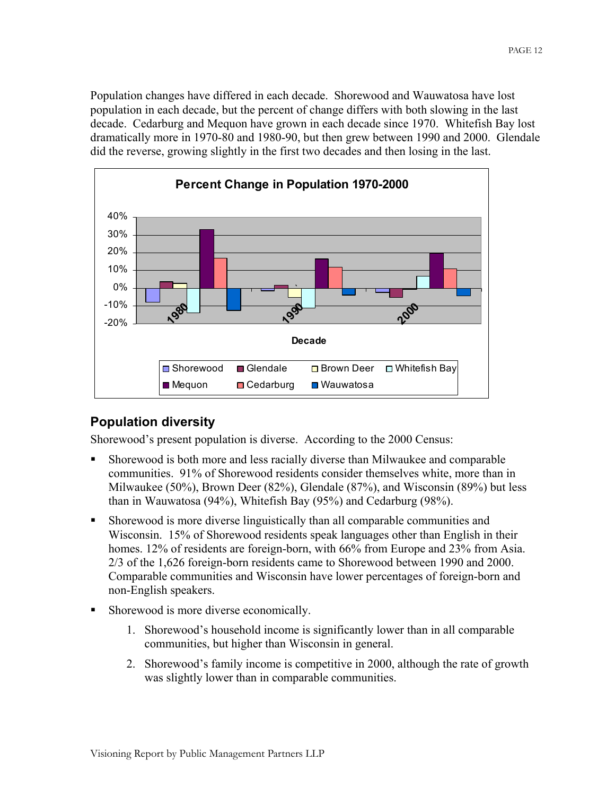Population changes have differed in each decade. Shorewood and Wauwatosa have lost population in each decade, but the percent of change differs with both slowing in the last decade. Cedarburg and Mequon have grown in each decade since 1970. Whitefish Bay lost dramatically more in 1970-80 and 1980-90, but then grew between 1990 and 2000. Glendale did the reverse, growing slightly in the first two decades and then losing in the last.



### **Population diversity**

Shorewood's present population is diverse. According to the 2000 Census:

- Shorewood is both more and less racially diverse than Milwaukee and comparable communities. 91% of Shorewood residents consider themselves white, more than in Milwaukee (50%), Brown Deer (82%), Glendale (87%), and Wisconsin (89%) but less than in Wauwatosa (94%), Whitefish Bay (95%) and Cedarburg (98%).
- Shorewood is more diverse linguistically than all comparable communities and Wisconsin. 15% of Shorewood residents speak languages other than English in their homes. 12% of residents are foreign-born, with 66% from Europe and 23% from Asia. 2/3 of the 1,626 foreign-born residents came to Shorewood between 1990 and 2000. Comparable communities and Wisconsin have lower percentages of foreign-born and non-English speakers.
- Shorewood is more diverse economically.
	- 1. Shorewood's household income is significantly lower than in all comparable communities, but higher than Wisconsin in general.
	- 2. Shorewood's family income is competitive in 2000, although the rate of growth was slightly lower than in comparable communities.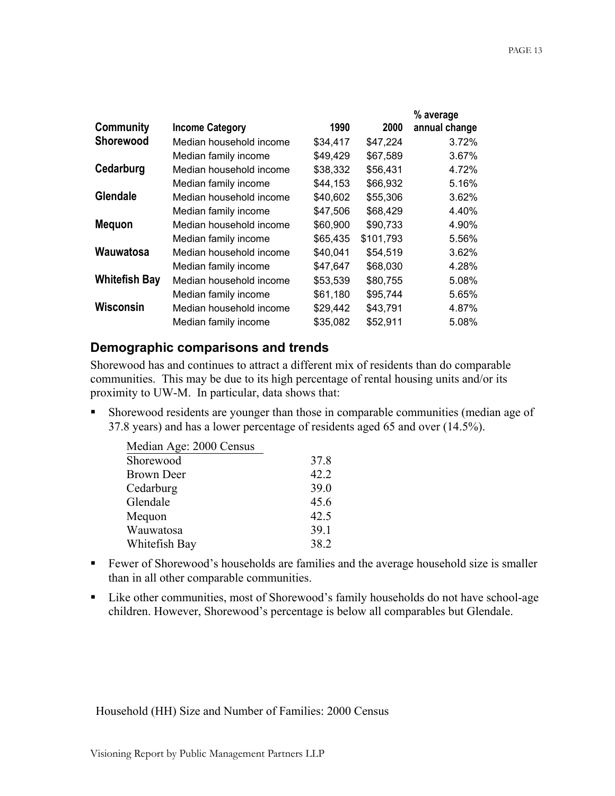|                      |                         |          |           | % average     |
|----------------------|-------------------------|----------|-----------|---------------|
| Community            | <b>Income Category</b>  | 1990     | 2000      | annual change |
| <b>Shorewood</b>     | Median household income | \$34,417 | \$47,224  | 3.72%         |
|                      | Median family income    | \$49,429 | \$67,589  | 3.67%         |
| Cedarburg            | Median household income | \$38,332 | \$56,431  | 4.72%         |
|                      | Median family income    | \$44,153 | \$66,932  | 5.16%         |
| <b>Glendale</b>      | Median household income | \$40,602 | \$55,306  | 3.62%         |
|                      | Median family income    | \$47,506 | \$68,429  | 4.40%         |
| <b>Mequon</b>        | Median household income | \$60,900 | \$90,733  | 4.90%         |
|                      | Median family income    | \$65,435 | \$101,793 | 5.56%         |
| Wauwatosa            | Median household income | \$40,041 | \$54,519  | 3.62%         |
|                      | Median family income    | \$47,647 | \$68,030  | 4.28%         |
| <b>Whitefish Bay</b> | Median household income | \$53,539 | \$80,755  | 5.08%         |
|                      | Median family income    | \$61,180 | \$95,744  | 5.65%         |
| Wisconsin            | Median household income | \$29,442 | \$43,791  | 4.87%         |
|                      | Median family income    | \$35,082 | \$52,911  | 5.08%         |
|                      |                         |          |           |               |

### **Demographic comparisons and trends**

Shorewood has and continues to attract a different mix of residents than do comparable communities. This may be due to its high percentage of rental housing units and/or its proximity to UW-M. In particular, data shows that:

 Shorewood residents are younger than those in comparable communities (median age of 37.8 years) and has a lower percentage of residents aged 65 and over (14.5%).

| Median Age: 2000 Census |      |
|-------------------------|------|
| Shorewood               | 37.8 |
| <b>Brown Deer</b>       | 42.2 |
| Cedarburg               | 39.0 |
| Glendale                | 45.6 |
| Mequon                  | 42.5 |
| Wauwatosa               | 39.1 |
| Whitefish Bay           | 38.2 |

- Fewer of Shorewood's households are families and the average household size is smaller than in all other comparable communities.
- Like other communities, most of Shorewood's family households do not have school-age children. However, Shorewood's percentage is below all comparables but Glendale.

Household (HH) Size and Number of Families: 2000 Census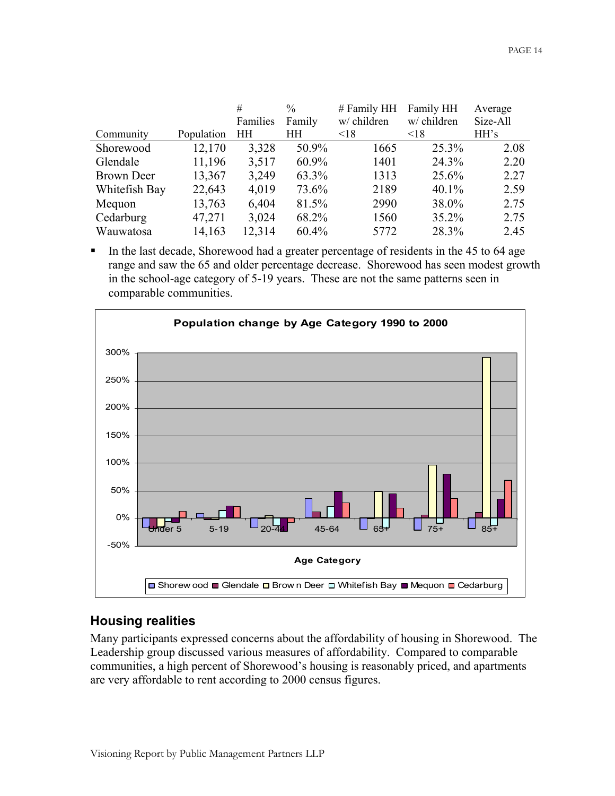|                   |            | #         | $\frac{0}{0}$ | # Family HH | Family HH   | Average  |
|-------------------|------------|-----------|---------------|-------------|-------------|----------|
|                   |            | Families  | Family        | w/ children | w/ children | Size-All |
| Community         | Population | <b>HH</b> | HH            | < 18        | < 18        | HH's     |
| Shorewood         | 12,170     | 3,328     | 50.9%         | 1665        | 25.3%       | 2.08     |
| Glendale          | 11,196     | 3,517     | $60.9\%$      | 1401        | 24.3%       | 2.20     |
| <b>Brown Deer</b> | 13,367     | 3,249     | 63.3%         | 1313        | 25.6%       | 2.27     |
| Whitefish Bay     | 22,643     | 4,019     | 73.6%         | 2189        | 40.1%       | 2.59     |
| Mequon            | 13,763     | 6,404     | 81.5%         | 2990        | 38.0%       | 2.75     |
| Cedarburg         | 47,271     | 3,024     | 68.2%         | 1560        | 35.2%       | 2.75     |
| Wauwatosa         | 14,163     | 12,314    | 60.4%         | 5772        | 28.3%       | 2.45     |

In the last decade, Shorewood had a greater percentage of residents in the 45 to 64 age range and saw the 65 and older percentage decrease. Shorewood has seen modest growth in the school-age category of 5-19 years. These are not the same patterns seen in comparable communities.



### **Housing realities**

Many participants expressed concerns about the affordability of housing in Shorewood. The Leadership group discussed various measures of affordability. Compared to comparable communities, a high percent of Shorewood's housing is reasonably priced, and apartments are very affordable to rent according to 2000 census figures.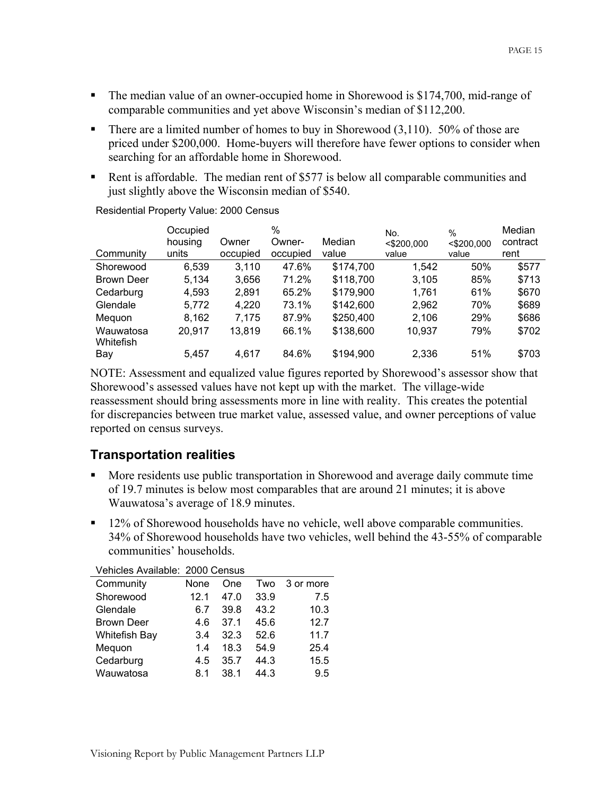- The median value of an owner-occupied home in Shorewood is \$174,700, mid-range of comparable communities and yet above Wisconsin's median of \$112,200.
- There are a limited number of homes to buy in Shorewood  $(3,110)$ . 50% of those are priced under \$200,000. Home-buyers will therefore have fewer options to consider when searching for an affordable home in Shorewood.
- Rent is affordable. The median rent of \$577 is below all comparable communities and just slightly above the Wisconsin median of \$540.

|                   | Occupied |          | %        |           | No.           | $\frac{0}{0}$ | Median   |
|-------------------|----------|----------|----------|-----------|---------------|---------------|----------|
|                   | housing  | Owner    | Owner-   | Median    | $<$ \$200,000 | $<$ \$200,000 | contract |
| Community         | units    | occupied | occupied | value     | value         | value         | rent     |
| Shorewood         | 6,539    | 3,110    | 47.6%    | \$174,700 | 1,542         | 50%           | \$577    |
| <b>Brown Deer</b> | 5.134    | 3,656    | 71.2%    | \$118,700 | 3,105         | 85%           | \$713    |
| Cedarburg         | 4,593    | 2,891    | 65.2%    | \$179,900 | 1,761         | 61%           | \$670    |
| Glendale          | 5,772    | 4,220    | 73.1%    | \$142,600 | 2,962         | 70%           | \$689    |
| Mequon            | 8,162    | 7,175    | 87.9%    | \$250,400 | 2,106         | 29%           | \$686    |
| Wauwatosa         | 20,917   | 13,819   | 66.1%    | \$138,600 | 10,937        | 79%           | \$702    |
| Whitefish         |          |          |          |           |               |               |          |
| Bay               | 5.457    | 4.617    | 84.6%    | \$194,900 | 2,336         | 51%           | \$703    |

Residential Property Value: 2000 Census

NOTE: Assessment and equalized value figures reported by Shorewood's assessor show that Shorewood's assessed values have not kept up with the market. The village-wide reassessment should bring assessments more in line with reality. This creates the potential for discrepancies between true market value, assessed value, and owner perceptions of value reported on census surveys.

### **Transportation realities**

- **More residents use public transportation in Shorewood and average daily commute time** of 19.7 minutes is below most comparables that are around 21 minutes; it is above Wauwatosa's average of 18.9 minutes.
- <sup>12%</sup> of Shorewood households have no vehicle, well above comparable communities. 34% of Shorewood households have two vehicles, well behind the 43-55% of comparable communities' households.

| Vehicles Available: 2000 Census |      |      |      |           |
|---------------------------------|------|------|------|-----------|
| Community                       | None | One  | Two  | 3 or more |
| Shorewood                       | 12.1 | 47.0 | 33.9 | 7.5       |
| Glendale                        | 6.7  | 39.8 | 43.2 | 10.3      |
| <b>Brown Deer</b>               | 4.6  | 37.1 | 45.6 | 12.7      |
| <b>Whitefish Bay</b>            | 3.4  | 32.3 | 52.6 | 11.7      |
| Mequon                          | 1.4  | 18.3 | 54.9 | 25.4      |
| Cedarburg                       | 4.5  | 35.7 | 44.3 | 15.5      |
| Wauwatosa                       | 8.1  | 38.1 | 44.3 | 9.5       |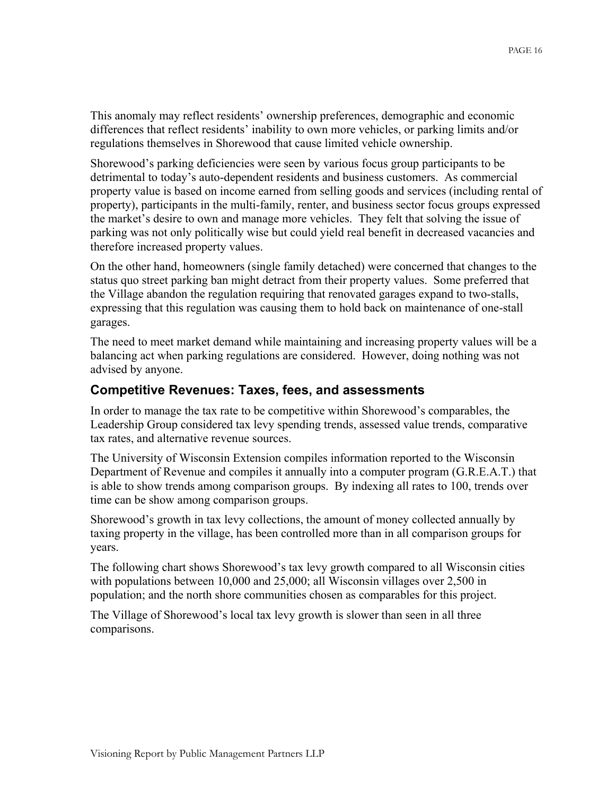This anomaly may reflect residents' ownership preferences, demographic and economic differences that reflect residents' inability to own more vehicles, or parking limits and/or regulations themselves in Shorewood that cause limited vehicle ownership.

Shorewood's parking deficiencies were seen by various focus group participants to be detrimental to today's auto-dependent residents and business customers. As commercial property value is based on income earned from selling goods and services (including rental of property), participants in the multi-family, renter, and business sector focus groups expressed the market's desire to own and manage more vehicles. They felt that solving the issue of parking was not only politically wise but could yield real benefit in decreased vacancies and therefore increased property values.

On the other hand, homeowners (single family detached) were concerned that changes to the status quo street parking ban might detract from their property values. Some preferred that the Village abandon the regulation requiring that renovated garages expand to two-stalls, expressing that this regulation was causing them to hold back on maintenance of one-stall garages.

The need to meet market demand while maintaining and increasing property values will be a balancing act when parking regulations are considered. However, doing nothing was not advised by anyone.

### **Competitive Revenues: Taxes, fees, and assessments**

In order to manage the tax rate to be competitive within Shorewood's comparables, the Leadership Group considered tax levy spending trends, assessed value trends, comparative tax rates, and alternative revenue sources.

The University of Wisconsin Extension compiles information reported to the Wisconsin Department of Revenue and compiles it annually into a computer program (G.R.E.A.T.) that is able to show trends among comparison groups. By indexing all rates to 100, trends over time can be show among comparison groups.

Shorewood's growth in tax levy collections, the amount of money collected annually by taxing property in the village, has been controlled more than in all comparison groups for years.

The following chart shows Shorewood's tax levy growth compared to all Wisconsin cities with populations between 10,000 and 25,000; all Wisconsin villages over 2,500 in population; and the north shore communities chosen as comparables for this project.

The Village of Shorewood's local tax levy growth is slower than seen in all three comparisons.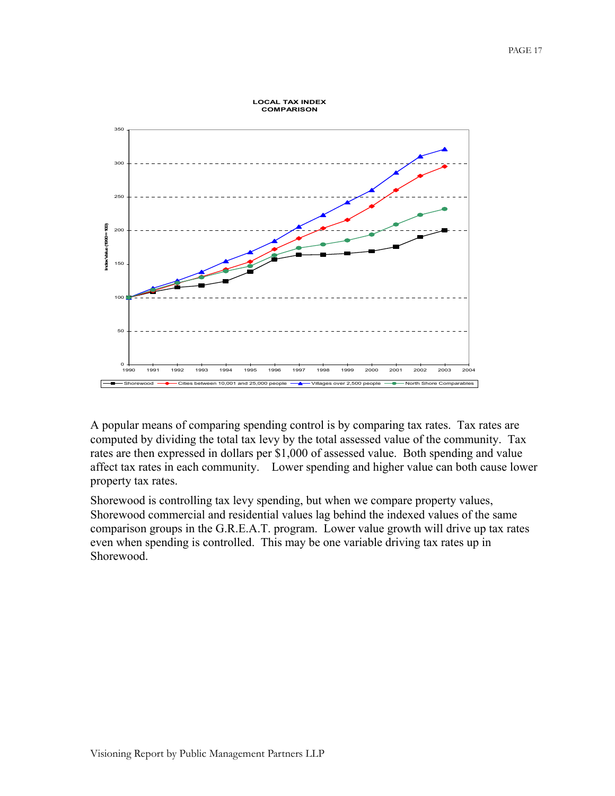

A popular means of comparing spending control is by comparing tax rates. Tax rates are computed by dividing the total tax levy by the total assessed value of the community. Tax rates are then expressed in dollars per \$1,000 of assessed value. Both spending and value affect tax rates in each community. Lower spending and higher value can both cause lower property tax rates.

Shorewood is controlling tax levy spending, but when we compare property values, Shorewood commercial and residential values lag behind the indexed values of the same comparison groups in the G.R.E.A.T. program. Lower value growth will drive up tax rates even when spending is controlled. This may be one variable driving tax rates up in Shorewood.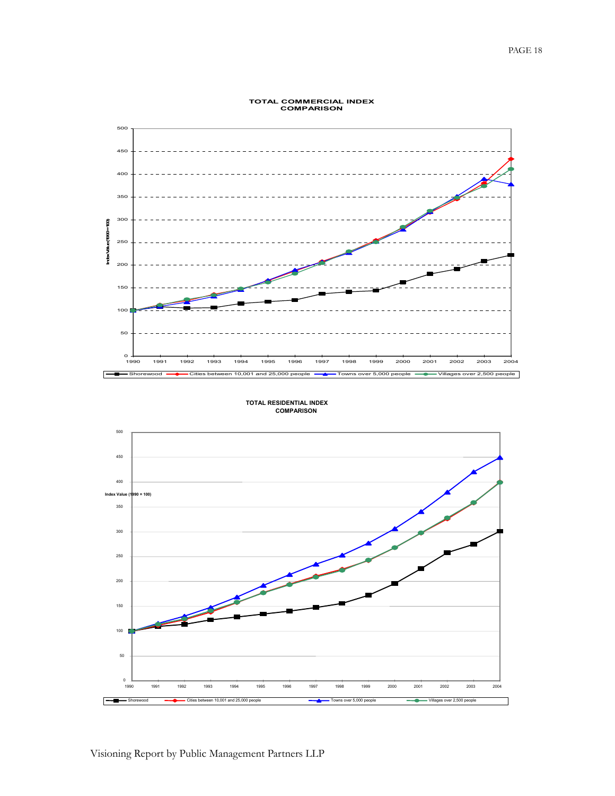

### **TOTAL COMMERCIAL INDEX COMPARISON**

**TOTAL RESIDENTIAL INDEX COMPARISON**

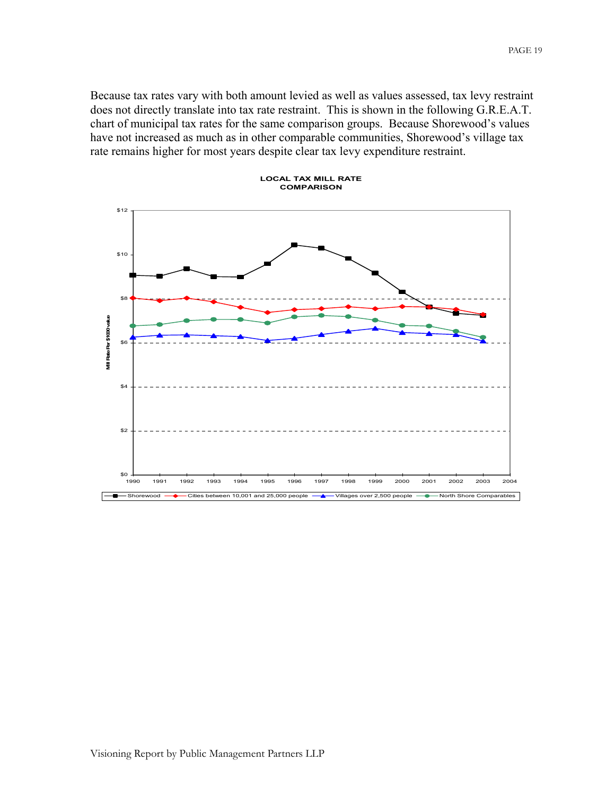Because tax rates vary with both amount levied as well as values assessed, tax levy restraint does not directly translate into tax rate restraint. This is shown in the following G.R.E.A.T. chart of municipal tax rates for the same comparison groups. Because Shorewood's values have not increased as much as in other comparable communities, Shorewood's village tax rate remains higher for most years despite clear tax levy expenditure restraint.



#### Visioning Report by Public Management Partners LLP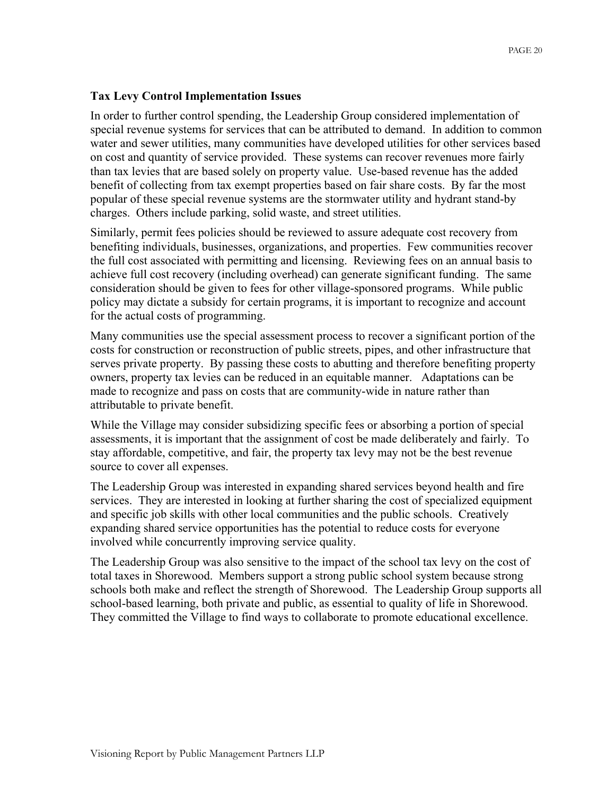### **Tax Levy Control Implementation Issues**

In order to further control spending, the Leadership Group considered implementation of special revenue systems for services that can be attributed to demand. In addition to common water and sewer utilities, many communities have developed utilities for other services based on cost and quantity of service provided. These systems can recover revenues more fairly than tax levies that are based solely on property value. Use-based revenue has the added benefit of collecting from tax exempt properties based on fair share costs. By far the most popular of these special revenue systems are the stormwater utility and hydrant stand-by charges. Others include parking, solid waste, and street utilities.

Similarly, permit fees policies should be reviewed to assure adequate cost recovery from benefiting individuals, businesses, organizations, and properties. Few communities recover the full cost associated with permitting and licensing. Reviewing fees on an annual basis to achieve full cost recovery (including overhead) can generate significant funding. The same consideration should be given to fees for other village-sponsored programs. While public policy may dictate a subsidy for certain programs, it is important to recognize and account for the actual costs of programming.

Many communities use the special assessment process to recover a significant portion of the costs for construction or reconstruction of public streets, pipes, and other infrastructure that serves private property. By passing these costs to abutting and therefore benefiting property owners, property tax levies can be reduced in an equitable manner. Adaptations can be made to recognize and pass on costs that are community-wide in nature rather than attributable to private benefit.

While the Village may consider subsidizing specific fees or absorbing a portion of special assessments, it is important that the assignment of cost be made deliberately and fairly. To stay affordable, competitive, and fair, the property tax levy may not be the best revenue source to cover all expenses.

The Leadership Group was interested in expanding shared services beyond health and fire services. They are interested in looking at further sharing the cost of specialized equipment and specific job skills with other local communities and the public schools. Creatively expanding shared service opportunities has the potential to reduce costs for everyone involved while concurrently improving service quality.

The Leadership Group was also sensitive to the impact of the school tax levy on the cost of total taxes in Shorewood. Members support a strong public school system because strong schools both make and reflect the strength of Shorewood. The Leadership Group supports all school-based learning, both private and public, as essential to quality of life in Shorewood. They committed the Village to find ways to collaborate to promote educational excellence.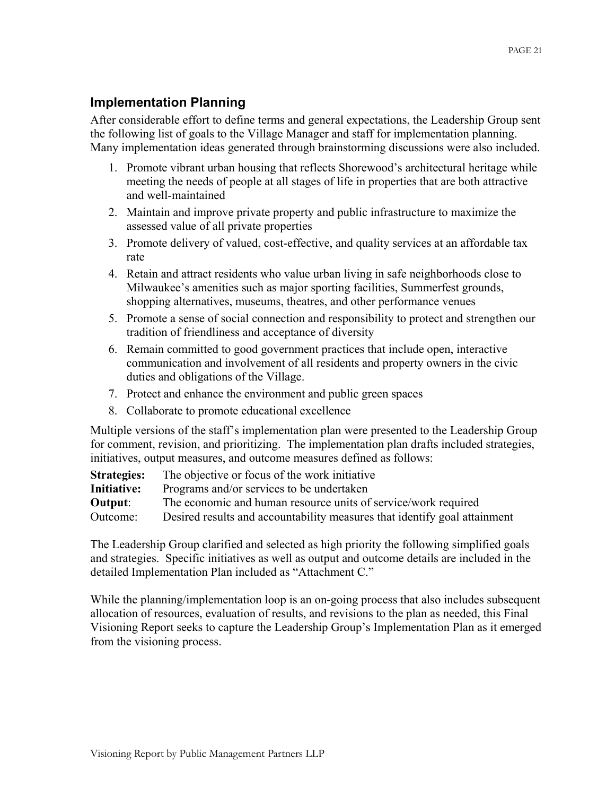### **Implementation Planning**

After considerable effort to define terms and general expectations, the Leadership Group sent the following list of goals to the Village Manager and staff for implementation planning. Many implementation ideas generated through brainstorming discussions were also included.

- 1. Promote vibrant urban housing that reflects Shorewood's architectural heritage while meeting the needs of people at all stages of life in properties that are both attractive and well-maintained
- 2. Maintain and improve private property and public infrastructure to maximize the assessed value of all private properties
- 3. Promote delivery of valued, cost-effective, and quality services at an affordable tax rate
- 4. Retain and attract residents who value urban living in safe neighborhoods close to Milwaukee's amenities such as major sporting facilities, Summerfest grounds, shopping alternatives, museums, theatres, and other performance venues
- 5. Promote a sense of social connection and responsibility to protect and strengthen our tradition of friendliness and acceptance of diversity
- 6. Remain committed to good government practices that include open, interactive communication and involvement of all residents and property owners in the civic duties and obligations of the Village.
- 7. Protect and enhance the environment and public green spaces
- 8. Collaborate to promote educational excellence

Multiple versions of the staff's implementation plan were presented to the Leadership Group for comment, revision, and prioritizing. The implementation plan drafts included strategies, initiatives, output measures, and outcome measures defined as follows:

| The objective or focus of the work initiative                             |
|---------------------------------------------------------------------------|
| Programs and/or services to be undertaken                                 |
| The economic and human resource units of service/work required            |
| Desired results and accountability measures that identify goal attainment |
|                                                                           |

The Leadership Group clarified and selected as high priority the following simplified goals and strategies. Specific initiatives as well as output and outcome details are included in the detailed Implementation Plan included as "Attachment C."

While the planning/implementation loop is an on-going process that also includes subsequent allocation of resources, evaluation of results, and revisions to the plan as needed, this Final Visioning Report seeks to capture the Leadership Group's Implementation Plan as it emerged from the visioning process.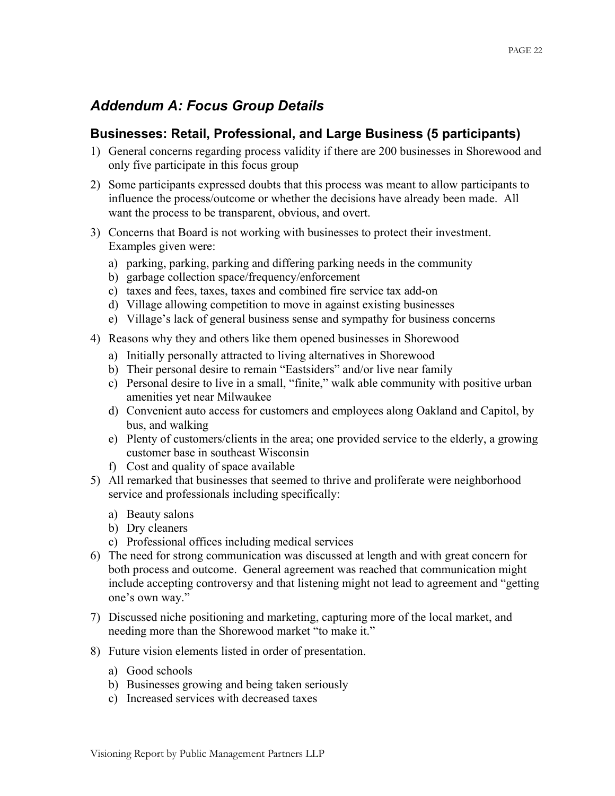### *Addendum A: Focus Group Details*

### **Businesses: Retail, Professional, and Large Business (5 participants)**

- 1) General concerns regarding process validity if there are 200 businesses in Shorewood and only five participate in this focus group
- 2) Some participants expressed doubts that this process was meant to allow participants to influence the process/outcome or whether the decisions have already been made. All want the process to be transparent, obvious, and overt.
- 3) Concerns that Board is not working with businesses to protect their investment. Examples given were:
	- a) parking, parking, parking and differing parking needs in the community
	- b) garbage collection space/frequency/enforcement
	- c) taxes and fees, taxes, taxes and combined fire service tax add-on
	- d) Village allowing competition to move in against existing businesses
	- e) Village's lack of general business sense and sympathy for business concerns
- 4) Reasons why they and others like them opened businesses in Shorewood
	- a) Initially personally attracted to living alternatives in Shorewood
	- b) Their personal desire to remain "Eastsiders" and/or live near family
	- c) Personal desire to live in a small, "finite," walk able community with positive urban amenities yet near Milwaukee
	- d) Convenient auto access for customers and employees along Oakland and Capitol, by bus, and walking
	- e) Plenty of customers/clients in the area; one provided service to the elderly, a growing customer base in southeast Wisconsin
	- f) Cost and quality of space available
- 5) All remarked that businesses that seemed to thrive and proliferate were neighborhood service and professionals including specifically:
	- a) Beauty salons
	- b) Dry cleaners
	- c) Professional offices including medical services
- 6) The need for strong communication was discussed at length and with great concern for both process and outcome. General agreement was reached that communication might include accepting controversy and that listening might not lead to agreement and "getting one's own way."
- 7) Discussed niche positioning and marketing, capturing more of the local market, and needing more than the Shorewood market "to make it."
- 8) Future vision elements listed in order of presentation.
	- a) Good schools
	- b) Businesses growing and being taken seriously
	- c) Increased services with decreased taxes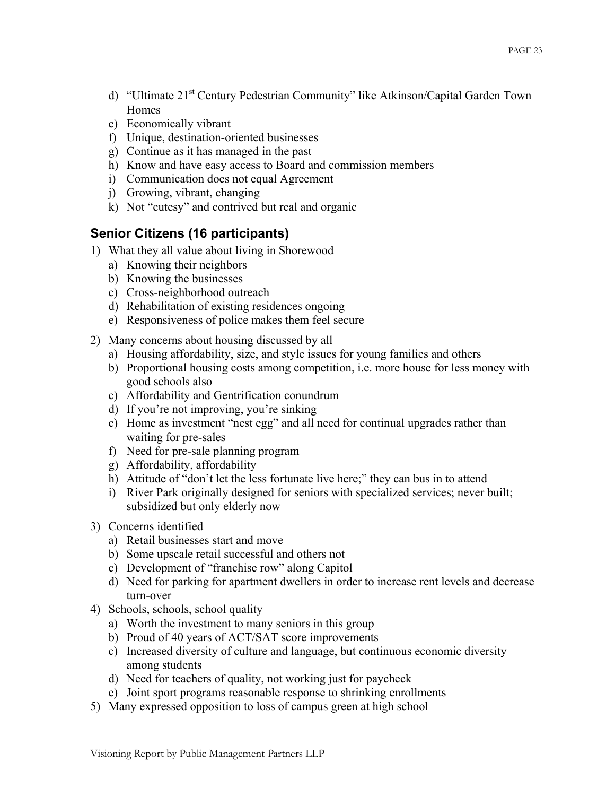- d) "Ultimate 21<sup>st</sup> Century Pedestrian Community" like Atkinson/Capital Garden Town Homes
- e) Economically vibrant
- f) Unique, destination-oriented businesses
- g) Continue as it has managed in the past
- h) Know and have easy access to Board and commission members
- i) Communication does not equal Agreement
- j) Growing, vibrant, changing
- k) Not "cutesy" and contrived but real and organic

### **Senior Citizens (16 participants)**

- 1) What they all value about living in Shorewood
	- a) Knowing their neighbors
	- b) Knowing the businesses
	- c) Cross-neighborhood outreach
	- d) Rehabilitation of existing residences ongoing
	- e) Responsiveness of police makes them feel secure
- 2) Many concerns about housing discussed by all
	- a) Housing affordability, size, and style issues for young families and others
	- b) Proportional housing costs among competition, i.e. more house for less money with good schools also
	- c) Affordability and Gentrification conundrum
	- d) If you're not improving, you're sinking
	- e) Home as investment "nest egg" and all need for continual upgrades rather than waiting for pre-sales
	- f) Need for pre-sale planning program
	- g) Affordability, affordability
	- h) Attitude of "don't let the less fortunate live here;" they can bus in to attend
	- i) River Park originally designed for seniors with specialized services; never built; subsidized but only elderly now
- 3) Concerns identified
	- a) Retail businesses start and move
	- b) Some upscale retail successful and others not
	- c) Development of "franchise row" along Capitol
	- d) Need for parking for apartment dwellers in order to increase rent levels and decrease turn-over
- 4) Schools, schools, school quality
	- a) Worth the investment to many seniors in this group
	- b) Proud of 40 years of ACT/SAT score improvements
	- c) Increased diversity of culture and language, but continuous economic diversity among students
	- d) Need for teachers of quality, not working just for paycheck
	- e) Joint sport programs reasonable response to shrinking enrollments
- 5) Many expressed opposition to loss of campus green at high school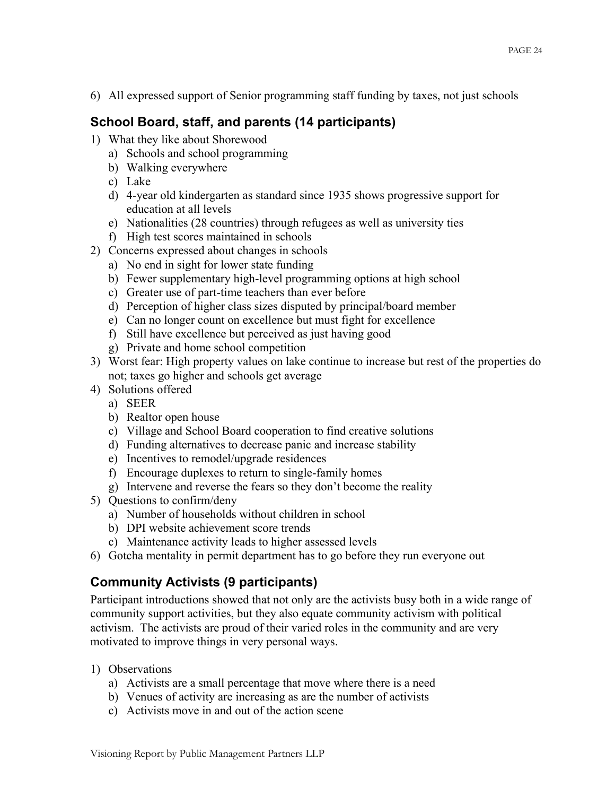6) All expressed support of Senior programming staff funding by taxes, not just schools

### **School Board, staff, and parents (14 participants)**

- 1) What they like about Shorewood
	- a) Schools and school programming
	- b) Walking everywhere
	- c) Lake
	- d) 4-year old kindergarten as standard since 1935 shows progressive support for education at all levels
	- e) Nationalities (28 countries) through refugees as well as university ties
	- f) High test scores maintained in schools
- 2) Concerns expressed about changes in schools
	- a) No end in sight for lower state funding
	- b) Fewer supplementary high-level programming options at high school
	- c) Greater use of part-time teachers than ever before
	- d) Perception of higher class sizes disputed by principal/board member
	- e) Can no longer count on excellence but must fight for excellence
	- f) Still have excellence but perceived as just having good
	- g) Private and home school competition
- 3) Worst fear: High property values on lake continue to increase but rest of the properties do not; taxes go higher and schools get average
- 4) Solutions offered
	- a) SEER
	- b) Realtor open house
	- c) Village and School Board cooperation to find creative solutions
	- d) Funding alternatives to decrease panic and increase stability
	- e) Incentives to remodel/upgrade residences
	- f) Encourage duplexes to return to single-family homes
	- g) Intervene and reverse the fears so they don't become the reality
- 5) Questions to confirm/deny
	- a) Number of households without children in school
	- b) DPI website achievement score trends
	- c) Maintenance activity leads to higher assessed levels
- 6) Gotcha mentality in permit department has to go before they run everyone out

### **Community Activists (9 participants)**

Participant introductions showed that not only are the activists busy both in a wide range of community support activities, but they also equate community activism with political activism. The activists are proud of their varied roles in the community and are very motivated to improve things in very personal ways.

- 1) Observations
	- a) Activists are a small percentage that move where there is a need
	- b) Venues of activity are increasing as are the number of activists
	- c) Activists move in and out of the action scene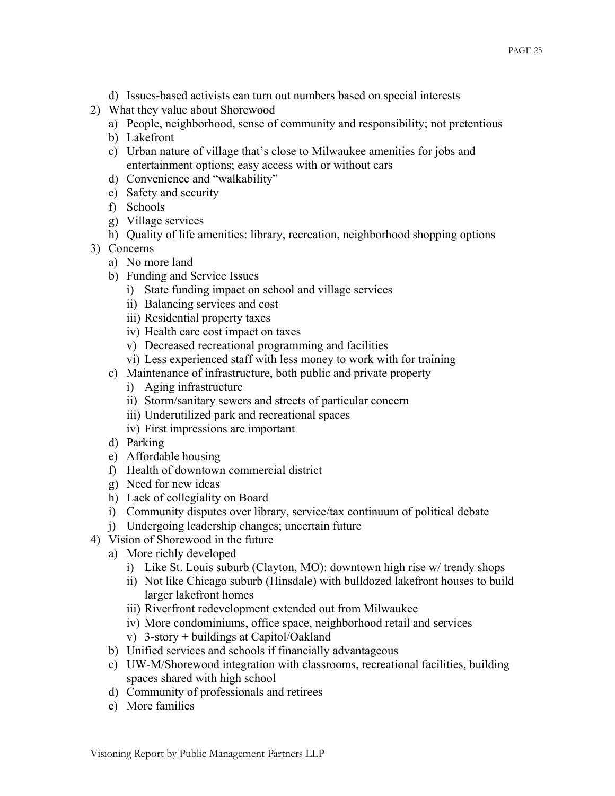- d) Issues-based activists can turn out numbers based on special interests
- 2) What they value about Shorewood
	- a) People, neighborhood, sense of community and responsibility; not pretentious
	- b) Lakefront
	- c) Urban nature of village that's close to Milwaukee amenities for jobs and entertainment options; easy access with or without cars
	- d) Convenience and "walkability"
	- e) Safety and security
	- f) Schools
	- g) Village services
	- h) Quality of life amenities: library, recreation, neighborhood shopping options
- 3) Concerns
	- a) No more land
	- b) Funding and Service Issues
		- i) State funding impact on school and village services
		- ii) Balancing services and cost
		- iii) Residential property taxes
		- iv) Health care cost impact on taxes
		- v) Decreased recreational programming and facilities
		- vi) Less experienced staff with less money to work with for training
	- c) Maintenance of infrastructure, both public and private property
		- i) Aging infrastructure
		- ii) Storm/sanitary sewers and streets of particular concern
		- iii) Underutilized park and recreational spaces
		- iv) First impressions are important
	- d) Parking
	- e) Affordable housing
	- f) Health of downtown commercial district
	- g) Need for new ideas
	- h) Lack of collegiality on Board
	- i) Community disputes over library, service/tax continuum of political debate
	- j) Undergoing leadership changes; uncertain future
- 4) Vision of Shorewood in the future
	- a) More richly developed
		- i) Like St. Louis suburb (Clayton, MO): downtown high rise w/ trendy shops
		- ii) Not like Chicago suburb (Hinsdale) with bulldozed lakefront houses to build larger lakefront homes
		- iii) Riverfront redevelopment extended out from Milwaukee
		- iv) More condominiums, office space, neighborhood retail and services
		- v) 3-story + buildings at Capitol/Oakland
	- b) Unified services and schools if financially advantageous
	- c) UW-M/Shorewood integration with classrooms, recreational facilities, building spaces shared with high school
	- d) Community of professionals and retirees
	- e) More families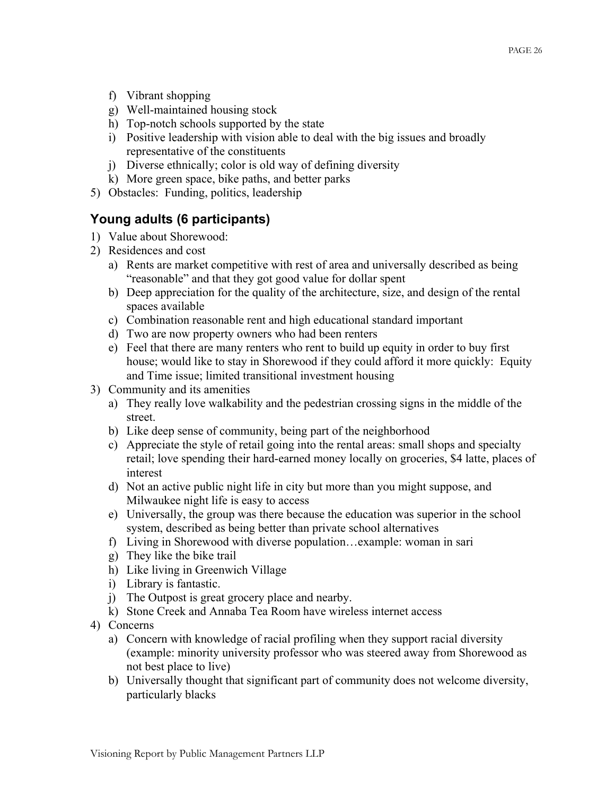- f) Vibrant shopping
- g) Well-maintained housing stock
- h) Top-notch schools supported by the state
- i) Positive leadership with vision able to deal with the big issues and broadly representative of the constituents
- j) Diverse ethnically; color is old way of defining diversity
- k) More green space, bike paths, and better parks
- 5) Obstacles: Funding, politics, leadership

### **Young adults (6 participants)**

- 1) Value about Shorewood:
- 2) Residences and cost
	- a) Rents are market competitive with rest of area and universally described as being "reasonable" and that they got good value for dollar spent
	- b) Deep appreciation for the quality of the architecture, size, and design of the rental spaces available
	- c) Combination reasonable rent and high educational standard important
	- d) Two are now property owners who had been renters
	- e) Feel that there are many renters who rent to build up equity in order to buy first house; would like to stay in Shorewood if they could afford it more quickly: Equity and Time issue; limited transitional investment housing
- 3) Community and its amenities
	- a) They really love walkability and the pedestrian crossing signs in the middle of the street.
	- b) Like deep sense of community, being part of the neighborhood
	- c) Appreciate the style of retail going into the rental areas: small shops and specialty retail; love spending their hard-earned money locally on groceries, \$4 latte, places of interest
	- d) Not an active public night life in city but more than you might suppose, and Milwaukee night life is easy to access
	- e) Universally, the group was there because the education was superior in the school system, described as being better than private school alternatives
	- f) Living in Shorewood with diverse population…example: woman in sari
	- g) They like the bike trail
	- h) Like living in Greenwich Village
	- i) Library is fantastic.
	- j) The Outpost is great grocery place and nearby.
	- k) Stone Creek and Annaba Tea Room have wireless internet access
- 4) Concerns
	- a) Concern with knowledge of racial profiling when they support racial diversity (example: minority university professor who was steered away from Shorewood as not best place to live)
	- b) Universally thought that significant part of community does not welcome diversity, particularly blacks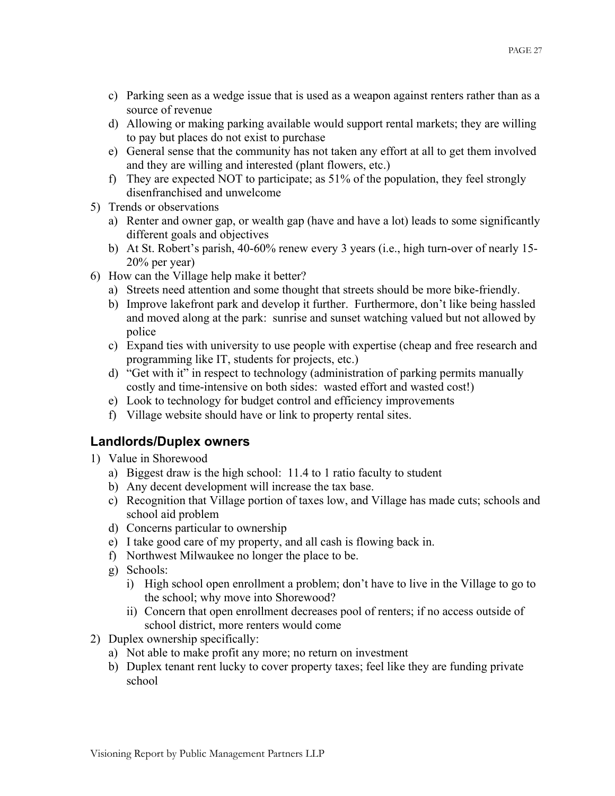- c) Parking seen as a wedge issue that is used as a weapon against renters rather than as a source of revenue
- d) Allowing or making parking available would support rental markets; they are willing to pay but places do not exist to purchase
- e) General sense that the community has not taken any effort at all to get them involved and they are willing and interested (plant flowers, etc.)
- f) They are expected NOT to participate; as 51% of the population, they feel strongly disenfranchised and unwelcome
- 5) Trends or observations
	- a) Renter and owner gap, or wealth gap (have and have a lot) leads to some significantly different goals and objectives
	- b) At St. Robert's parish, 40-60% renew every 3 years (i.e., high turn-over of nearly 15- 20% per year)
- 6) How can the Village help make it better?
	- a) Streets need attention and some thought that streets should be more bike-friendly.
	- b) Improve lakefront park and develop it further. Furthermore, don't like being hassled and moved along at the park: sunrise and sunset watching valued but not allowed by police
	- c) Expand ties with university to use people with expertise (cheap and free research and programming like IT, students for projects, etc.)
	- d) "Get with it" in respect to technology (administration of parking permits manually costly and time-intensive on both sides: wasted effort and wasted cost!)
	- e) Look to technology for budget control and efficiency improvements
	- f) Village website should have or link to property rental sites.

### **Landlords/Duplex owners**

- 1) Value in Shorewood
	- a) Biggest draw is the high school: 11.4 to 1 ratio faculty to student
	- b) Any decent development will increase the tax base.
	- c) Recognition that Village portion of taxes low, and Village has made cuts; schools and school aid problem
	- d) Concerns particular to ownership
	- e) I take good care of my property, and all cash is flowing back in.
	- f) Northwest Milwaukee no longer the place to be.
	- g) Schools:
		- i) High school open enrollment a problem; don't have to live in the Village to go to the school; why move into Shorewood?
		- ii) Concern that open enrollment decreases pool of renters; if no access outside of school district, more renters would come
- 2) Duplex ownership specifically:
	- a) Not able to make profit any more; no return on investment
	- b) Duplex tenant rent lucky to cover property taxes; feel like they are funding private school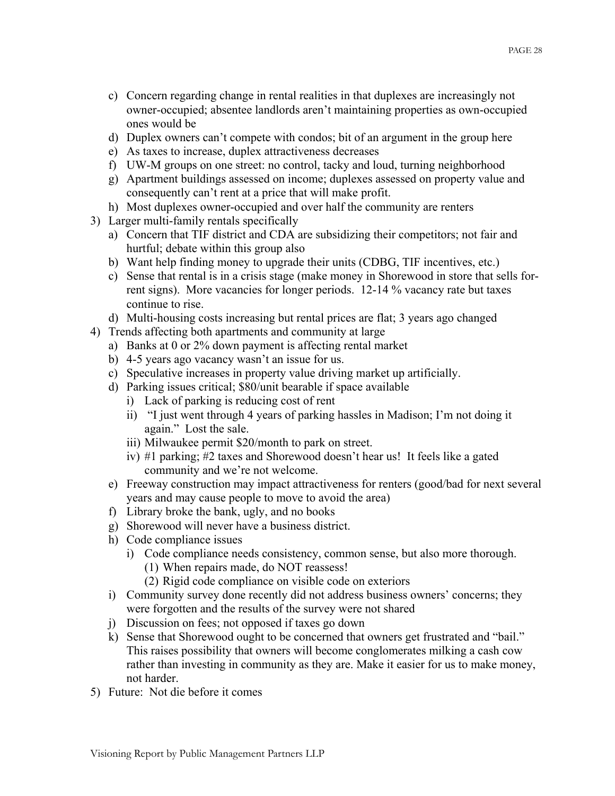- c) Concern regarding change in rental realities in that duplexes are increasingly not owner-occupied; absentee landlords aren't maintaining properties as own-occupied ones would be
- d) Duplex owners can't compete with condos; bit of an argument in the group here
- e) As taxes to increase, duplex attractiveness decreases
- f) UW-M groups on one street: no control, tacky and loud, turning neighborhood
- g) Apartment buildings assessed on income; duplexes assessed on property value and consequently can't rent at a price that will make profit.
- h) Most duplexes owner-occupied and over half the community are renters
- 3) Larger multi-family rentals specifically
	- a) Concern that TIF district and CDA are subsidizing their competitors; not fair and hurtful; debate within this group also
	- b) Want help finding money to upgrade their units (CDBG, TIF incentives, etc.)
	- c) Sense that rental is in a crisis stage (make money in Shorewood in store that sells forrent signs). More vacancies for longer periods. 12-14 % vacancy rate but taxes continue to rise.
	- d) Multi-housing costs increasing but rental prices are flat; 3 years ago changed
- 4) Trends affecting both apartments and community at large
	- a) Banks at 0 or 2% down payment is affecting rental market
	- b) 4-5 years ago vacancy wasn't an issue for us.
	- c) Speculative increases in property value driving market up artificially.
	- d) Parking issues critical; \$80/unit bearable if space available
		- i) Lack of parking is reducing cost of rent
		- ii) "I just went through 4 years of parking hassles in Madison; I'm not doing it again." Lost the sale.
		- iii) Milwaukee permit \$20/month to park on street.
		- iv) #1 parking; #2 taxes and Shorewood doesn't hear us! It feels like a gated community and we're not welcome.
	- e) Freeway construction may impact attractiveness for renters (good/bad for next several years and may cause people to move to avoid the area)
	- f) Library broke the bank, ugly, and no books
	- g) Shorewood will never have a business district.
	- h) Code compliance issues
		- i) Code compliance needs consistency, common sense, but also more thorough.
			- (1) When repairs made, do NOT reassess!
			- (2) Rigid code compliance on visible code on exteriors
	- i) Community survey done recently did not address business owners' concerns; they were forgotten and the results of the survey were not shared
	- j) Discussion on fees; not opposed if taxes go down
	- k) Sense that Shorewood ought to be concerned that owners get frustrated and "bail." This raises possibility that owners will become conglomerates milking a cash cow rather than investing in community as they are. Make it easier for us to make money, not harder.
- 5) Future: Not die before it comes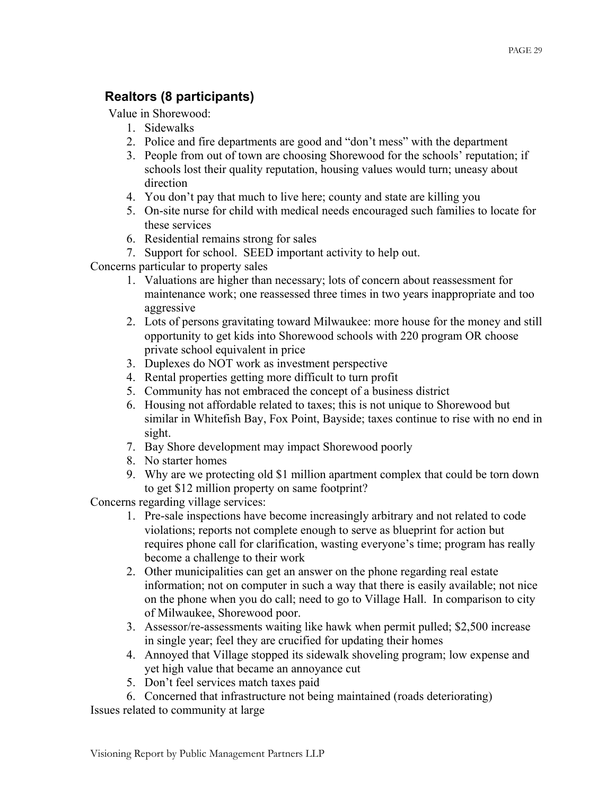### **Realtors (8 participants)**

Value in Shorewood:

- 1. Sidewalks
- 2. Police and fire departments are good and "don't mess" with the department
- 3. People from out of town are choosing Shorewood for the schools' reputation; if schools lost their quality reputation, housing values would turn; uneasy about direction
- 4. You don't pay that much to live here; county and state are killing you
- 5. On-site nurse for child with medical needs encouraged such families to locate for these services
- 6. Residential remains strong for sales
- 7. Support for school. SEED important activity to help out.

Concerns particular to property sales

- 1. Valuations are higher than necessary; lots of concern about reassessment for maintenance work; one reassessed three times in two years inappropriate and too aggressive
- 2. Lots of persons gravitating toward Milwaukee: more house for the money and still opportunity to get kids into Shorewood schools with 220 program OR choose private school equivalent in price
- 3. Duplexes do NOT work as investment perspective
- 4. Rental properties getting more difficult to turn profit
- 5. Community has not embraced the concept of a business district
- 6. Housing not affordable related to taxes; this is not unique to Shorewood but similar in Whitefish Bay, Fox Point, Bayside; taxes continue to rise with no end in sight.
- 7. Bay Shore development may impact Shorewood poorly
- 8. No starter homes
- 9. Why are we protecting old \$1 million apartment complex that could be torn down to get \$12 million property on same footprint?

Concerns regarding village services:

- 1. Pre-sale inspections have become increasingly arbitrary and not related to code violations; reports not complete enough to serve as blueprint for action but requires phone call for clarification, wasting everyone's time; program has really become a challenge to their work
- 2. Other municipalities can get an answer on the phone regarding real estate information; not on computer in such a way that there is easily available; not nice on the phone when you do call; need to go to Village Hall. In comparison to city of Milwaukee, Shorewood poor.
- 3. Assessor/re-assessments waiting like hawk when permit pulled; \$2,500 increase in single year; feel they are crucified for updating their homes
- 4. Annoyed that Village stopped its sidewalk shoveling program; low expense and yet high value that became an annoyance cut
- 5. Don't feel services match taxes paid
- 6. Concerned that infrastructure not being maintained (roads deteriorating)

Issues related to community at large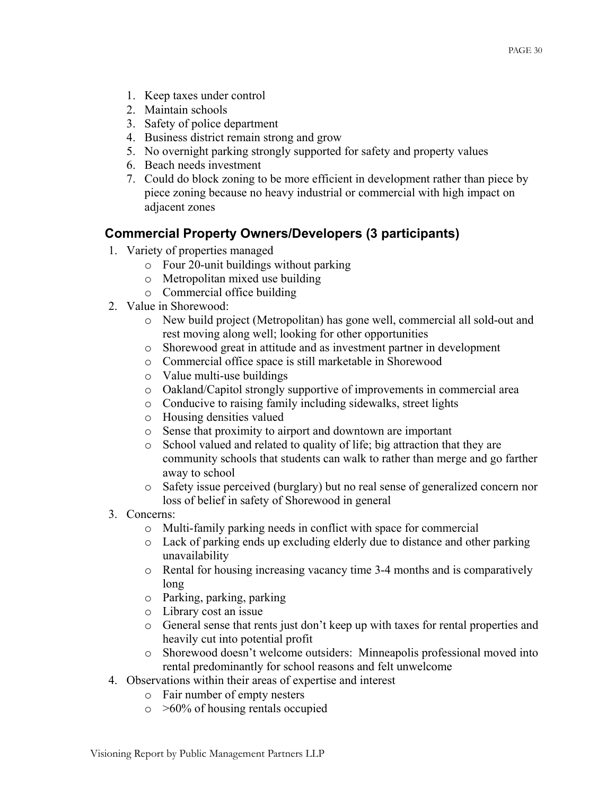- 1. Keep taxes under control
- 2. Maintain schools
- 3. Safety of police department
- 4. Business district remain strong and grow
- 5. No overnight parking strongly supported for safety and property values
- 6. Beach needs investment
- 7. Could do block zoning to be more efficient in development rather than piece by piece zoning because no heavy industrial or commercial with high impact on adjacent zones

### **Commercial Property Owners/Developers (3 participants)**

- 1. Variety of properties managed
	- o Four 20-unit buildings without parking
	- o Metropolitan mixed use building
	- o Commercial office building
- 2. Value in Shorewood:
	- o New build project (Metropolitan) has gone well, commercial all sold-out and rest moving along well; looking for other opportunities
	- o Shorewood great in attitude and as investment partner in development
	- o Commercial office space is still marketable in Shorewood
	- o Value multi-use buildings
	- o Oakland/Capitol strongly supportive of improvements in commercial area
	- o Conducive to raising family including sidewalks, street lights
	- o Housing densities valued
	- o Sense that proximity to airport and downtown are important
	- o School valued and related to quality of life; big attraction that they are community schools that students can walk to rather than merge and go farther away to school
	- o Safety issue perceived (burglary) but no real sense of generalized concern nor loss of belief in safety of Shorewood in general
- 3. Concerns:
	- o Multi-family parking needs in conflict with space for commercial
	- o Lack of parking ends up excluding elderly due to distance and other parking unavailability
	- o Rental for housing increasing vacancy time 3-4 months and is comparatively long
	- o Parking, parking, parking
	- o Library cost an issue
	- o General sense that rents just don't keep up with taxes for rental properties and heavily cut into potential profit
	- o Shorewood doesn't welcome outsiders: Minneapolis professional moved into rental predominantly for school reasons and felt unwelcome
- 4. Observations within their areas of expertise and interest
	- o Fair number of empty nesters
	- $\circ$  >60% of housing rentals occupied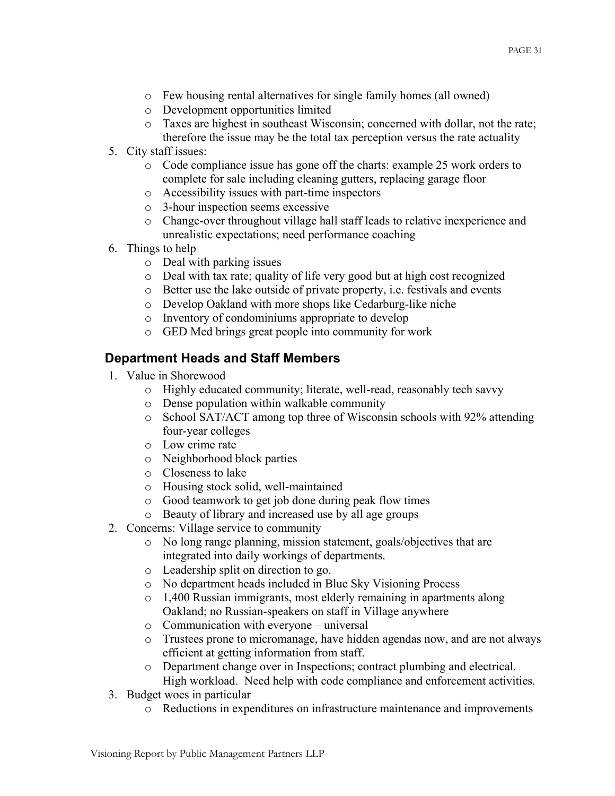- o Few housing rental alternatives for single family homes (all owned)
- o Development opportunities limited
- o Taxes are highest in southeast Wisconsin; concerned with dollar, not the rate; therefore the issue may be the total tax perception versus the rate actuality
- 5. City staff issues:
	- o Code compliance issue has gone off the charts: example 25 work orders to complete for sale including cleaning gutters, replacing garage floor
	- o Accessibility issues with part-time inspectors
	- o 3-hour inspection seems excessive
	- o Change-over throughout village hall staff leads to relative inexperience and unrealistic expectations; need performance coaching
- 6. Things to help
	- o Deal with parking issues
	- o Deal with tax rate; quality of life very good but at high cost recognized
	- o Better use the lake outside of private property, i.e. festivals and events
	- o Develop Oakland with more shops like Cedarburg-like niche
	- o Inventory of condominiums appropriate to develop
	- o GED Med brings great people into community for work

### **Department Heads and Staff Members**

- 1. Value in Shorewood
	- o Highly educated community; literate, well-read, reasonably tech savvy
	- o Dense population within walkable community
	- o School SAT/ACT among top three of Wisconsin schools with 92% attending four-year colleges
	- o Low crime rate
	- o Neighborhood block parties
	- o Closeness to lake
	- o Housing stock solid, well-maintained
	- o Good teamwork to get job done during peak flow times
	- o Beauty of library and increased use by all age groups
- 2. Concerns: Village service to community
	- o No long range planning, mission statement, goals/objectives that are integrated into daily workings of departments.
	- o Leadership split on direction to go.
	- o No department heads included in Blue Sky Visioning Process
	- o 1,400 Russian immigrants, most elderly remaining in apartments along Oakland; no Russian-speakers on staff in Village anywhere
	- o Communication with everyone universal
	- o Trustees prone to micromanage, have hidden agendas now, and are not always efficient at getting information from staff.
	- o Department change over in Inspections; contract plumbing and electrical. High workload. Need help with code compliance and enforcement activities.
- 3. Budget woes in particular
	- o Reductions in expenditures on infrastructure maintenance and improvements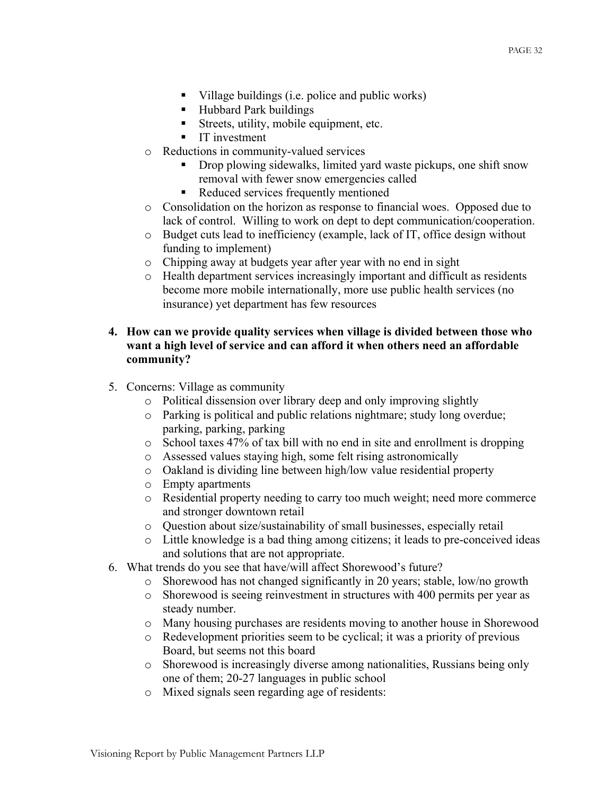- $\blacksquare$  Village buildings (i.e. police and public works)
- Hubbard Park buildings
- Streets, utility, mobile equipment, etc.
- **IT** investment
- o Reductions in community-valued services
	- Drop plowing sidewalks, limited yard waste pickups, one shift snow removal with fewer snow emergencies called
	- Reduced services frequently mentioned
- o Consolidation on the horizon as response to financial woes. Opposed due to lack of control. Willing to work on dept to dept communication/cooperation.
- o Budget cuts lead to inefficiency (example, lack of IT, office design without funding to implement)
- o Chipping away at budgets year after year with no end in sight
- o Health department services increasingly important and difficult as residents become more mobile internationally, more use public health services (no insurance) yet department has few resources

#### **4. How can we provide quality services when village is divided between those who want a high level of service and can afford it when others need an affordable community?**

- 5. Concerns: Village as community
	- o Political dissension over library deep and only improving slightly
	- o Parking is political and public relations nightmare; study long overdue; parking, parking, parking
	- o School taxes 47% of tax bill with no end in site and enrollment is dropping
	- o Assessed values staying high, some felt rising astronomically
	- o Oakland is dividing line between high/low value residential property
	- o Empty apartments
	- o Residential property needing to carry too much weight; need more commerce and stronger downtown retail
	- o Question about size/sustainability of small businesses, especially retail
	- o Little knowledge is a bad thing among citizens; it leads to pre-conceived ideas and solutions that are not appropriate.
- 6. What trends do you see that have/will affect Shorewood's future?
	- o Shorewood has not changed significantly in 20 years; stable, low/no growth
	- o Shorewood is seeing reinvestment in structures with 400 permits per year as steady number.
	- o Many housing purchases are residents moving to another house in Shorewood
	- o Redevelopment priorities seem to be cyclical; it was a priority of previous Board, but seems not this board
	- o Shorewood is increasingly diverse among nationalities, Russians being only one of them; 20-27 languages in public school
	- o Mixed signals seen regarding age of residents: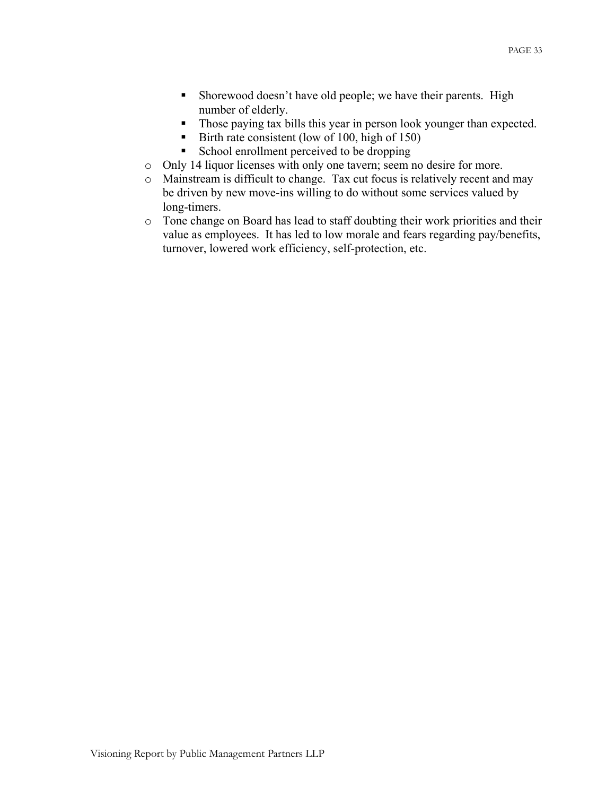- **Shorewood doesn't have old people; we have their parents. High** number of elderly.
- Those paying tax bills this year in person look younger than expected.
- Birth rate consistent (low of 100, high of 150)
- School enrollment perceived to be dropping
- o Only 14 liquor licenses with only one tavern; seem no desire for more.
- o Mainstream is difficult to change. Tax cut focus is relatively recent and may be driven by new move-ins willing to do without some services valued by long-timers.
- o Tone change on Board has lead to staff doubting their work priorities and their value as employees. It has led to low morale and fears regarding pay/benefits, turnover, lowered work efficiency, self-protection, etc.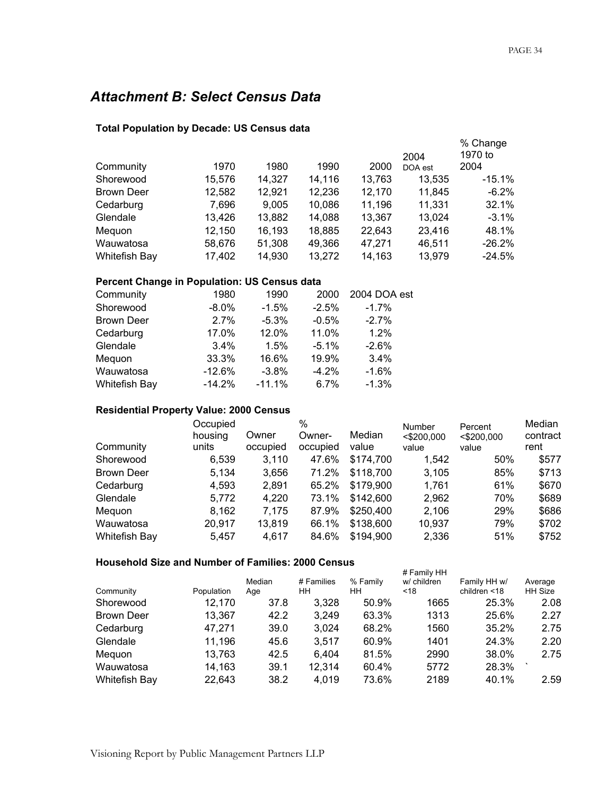## *Attachment B: Select Census Data*

#### **Total Population by Decade: US Census data**

| Community         | 1970   | 1980   | 1990   | 2000   | 2004<br>DOA est | % Change<br>1970 to<br>2004 |
|-------------------|--------|--------|--------|--------|-----------------|-----------------------------|
| Shorewood         | 15,576 | 14,327 | 14,116 | 13,763 | 13,535          | $-15.1%$                    |
| <b>Brown Deer</b> | 12,582 | 12,921 | 12,236 | 12,170 | 11,845          | $-6.2\%$                    |
| Cedarburg         | 7,696  | 9.005  | 10,086 | 11,196 | 11,331          | 32.1%                       |
| Glendale          | 13,426 | 13,882 | 14,088 | 13,367 | 13,024          | $-3.1\%$                    |
| Meguon            | 12,150 | 16,193 | 18,885 | 22,643 | 23,416          | 48.1%                       |
| Wauwatosa         | 58,676 | 51,308 | 49,366 | 47,271 | 46.511          | $-26.2\%$                   |
| Whitefish Bay     | 17,402 | 14,930 | 13,272 | 14.163 | 13.979          | $-24.5%$                    |

#### **Percent Change in Population: US Census data**

| Community         | 1980     | 1990     | 2000     | 2004 DOA est |
|-------------------|----------|----------|----------|--------------|
| Shorewood         | $-8.0\%$ | $-1.5%$  | $-2.5%$  | $-1.7\%$     |
| <b>Brown Deer</b> | 2.7%     | $-5.3%$  | $-0.5%$  | $-2.7%$      |
| Cedarburg         | 17.0%    | 12.0%    | 11.0%    | 1.2%         |
| Glendale          | 3.4%     | 1.5%     | $-5.1\%$ | $-2.6%$      |
| Mequon            | 33.3%    | 16.6%    | 19.9%    | 3.4%         |
| Wauwatosa         | $-12.6%$ | $-3.8%$  | $-4.2%$  | $-1.6%$      |
| Whitefish Bay     | $-14.2%$ | $-11.1%$ | 6.7%     | $-1.3%$      |

#### **Residential Property Value: 2000 Census**

|                      | Occupied |          | %        |           | Number        | Percent       | Median   |
|----------------------|----------|----------|----------|-----------|---------------|---------------|----------|
|                      | housing  | Owner    | Owner-   | Median    | $<$ \$200,000 | $<$ \$200,000 | contract |
| Community            | units    | occupied | occupied | value     | value         | value         | rent     |
| Shorewood            | 6,539    | 3,110    | 47.6%    | \$174,700 | 1.542         | 50%           | \$577    |
| <b>Brown Deer</b>    | 5.134    | 3,656    | 71.2%    | \$118,700 | 3,105         | 85%           | \$713    |
| Cedarburg            | 4,593    | 2,891    | 65.2%    | \$179,900 | 1.761         | 61%           | \$670    |
| Glendale             | 5,772    | 4,220    | 73.1%    | \$142,600 | 2,962         | 70%           | \$689    |
| Mequon               | 8,162    | 7,175    | 87.9%    | \$250,400 | 2,106         | 29%           | \$686    |
| Wauwatosa            | 20,917   | 13,819   | 66.1%    | \$138,600 | 10,937        | 79%           | \$702    |
| <b>Whitefish Bay</b> | 5.457    | 4,617    | 84.6%    | \$194,900 | 2,336         | 51%           | \$752    |

#### **Household Size and Number of Families: 2000 Census**

|                      |            |        |            |          | # Family HH |                 |         |
|----------------------|------------|--------|------------|----------|-------------|-----------------|---------|
|                      |            | Median | # Families | % Family | w/ children | Family HH w/    | Average |
| Community            | Population | Age    | ΗH         | HН       | $<$ 18      | children $<$ 18 | HH Size |
| Shorewood            | 12,170     | 37.8   | 3,328      | 50.9%    | 1665        | 25.3%           | 2.08    |
| <b>Brown Deer</b>    | 13.367     | 42.2   | 3,249      | 63.3%    | 1313        | 25.6%           | 2.27    |
| Cedarburg            | 47.271     | 39.0   | 3,024      | 68.2%    | 1560        | 35.2%           | 2.75    |
| Glendale             | 11,196     | 45.6   | 3.517      | 60.9%    | 1401        | 24.3%           | 2.20    |
| Mequon               | 13,763     | 42.5   | 6.404      | 81.5%    | 2990        | 38.0%           | 2.75    |
| Wauwatosa            | 14,163     | 39.1   | 12,314     | 60.4%    | 5772        | 28.3%           |         |
| <b>Whitefish Bay</b> | 22,643     | 38.2   | 4,019      | 73.6%    | 2189        | 40.1%           | 2.59    |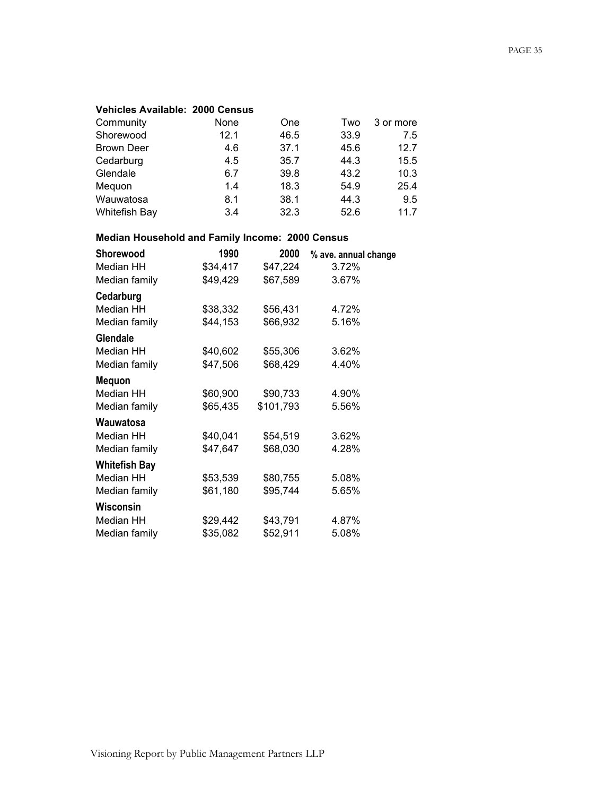#### **Vehicles Available: 2000 Census**

| Community         | None | One  | Two  | 3 or more |
|-------------------|------|------|------|-----------|
| Shorewood         | 12.1 | 46.5 | 33.9 | 7.5       |
| <b>Brown Deer</b> | 4.6  | 37.1 | 45.6 | 12.7      |
| Cedarburg         | 4.5  | 35.7 | 44.3 | 15.5      |
| Glendale          | 6.7  | 39.8 | 43.2 | 10.3      |
| Mequon            | 1.4  | 18.3 | 54.9 | 25.4      |
| Wauwatosa         | 8.1  | 38.1 | 44.3 | 9.5       |
| Whitefish Bay     | 3.4  | 32.3 | 52.6 | 11.7      |

### **Median Household and Family Income: 2000 Census**

| Shorewood            | 1990     | 2000      | % ave. annual change |
|----------------------|----------|-----------|----------------------|
| Median HH            | \$34,417 | \$47,224  | 3.72%                |
| Median family        | \$49,429 | \$67,589  | 3.67%                |
| Cedarburg            |          |           |                      |
| Median HH            | \$38,332 | \$56,431  | 4.72%                |
| Median family        | \$44,153 | \$66,932  | 5.16%                |
| Glendale             |          |           |                      |
| Median HH            | \$40,602 | \$55,306  | 3.62%                |
| Median family        | \$47,506 | \$68,429  | 4.40%                |
| <b>Mequon</b>        |          |           |                      |
| Median HH            | \$60,900 | \$90,733  | 4.90%                |
| Median family        | \$65,435 | \$101,793 | 5.56%                |
| Wauwatosa            |          |           |                      |
| Median HH            | \$40,041 | \$54,519  | 3.62%                |
| Median family        | \$47,647 | \$68,030  | 4.28%                |
| <b>Whitefish Bay</b> |          |           |                      |
| Median HH            | \$53,539 | \$80,755  | 5.08%                |
| Median family        | \$61,180 | \$95,744  | 5.65%                |
| Wisconsin            |          |           |                      |
| Median HH            | \$29,442 | \$43,791  | 4.87%                |
| Median family        | \$35,082 | \$52,911  | 5.08%                |